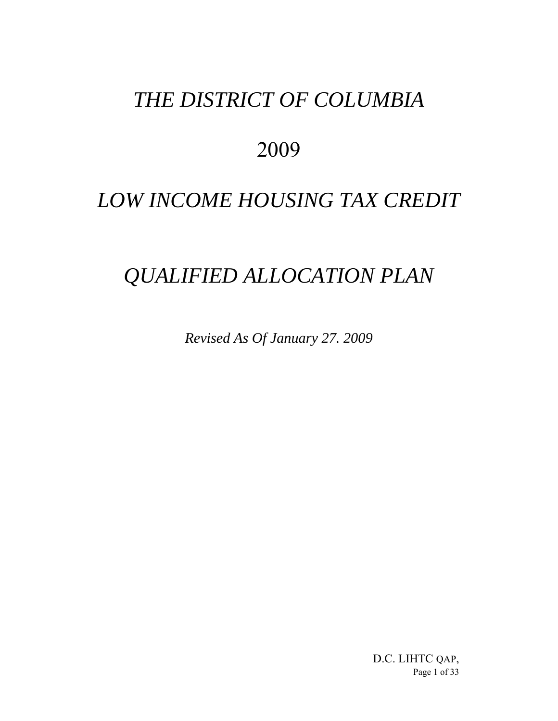## *THE DISTRICT OF COLUMBIA*

### 2009

# *LOW INCOME HOUSING TAX CREDIT*

### *QUALIFIED ALLOCATION PLAN*

*Revised As Of January 27. 2009*

D.C. LIHTC QAP, Page 1 of 33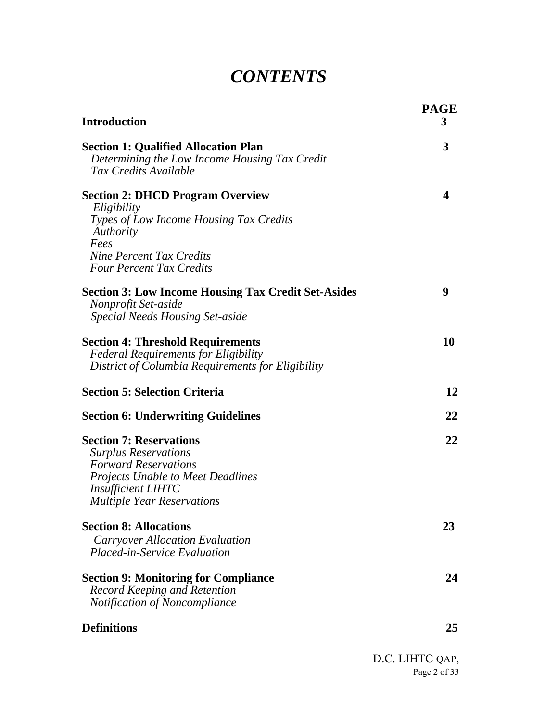### *CONTENTS*

| <b>Introduction</b>                                                                                                                                                                                        | <b>PAGE</b><br>3 |
|------------------------------------------------------------------------------------------------------------------------------------------------------------------------------------------------------------|------------------|
| <b>Section 1: Qualified Allocation Plan</b><br>Determining the Low Income Housing Tax Credit<br>Tax Credits Available                                                                                      | 3                |
| <b>Section 2: DHCD Program Overview</b><br>Eligibility<br>Types of Low Income Housing Tax Credits<br>Authority<br>Fees<br><b>Nine Percent Tax Credits</b><br><b>Four Percent Tax Credits</b>               | 4                |
| <b>Section 3: Low Income Housing Tax Credit Set-Asides</b><br>Nonprofit Set-aside<br><b>Special Needs Housing Set-aside</b>                                                                                | 9                |
| <b>Section 4: Threshold Requirements</b><br><b>Federal Requirements for Eligibility</b><br>District of Columbia Requirements for Eligibility                                                               | 10               |
| <b>Section 5: Selection Criteria</b>                                                                                                                                                                       | 12               |
| <b>Section 6: Underwriting Guidelines</b>                                                                                                                                                                  | 22               |
| <b>Section 7: Reservations</b><br><b>Surplus Reservations</b><br><b>Forward Reservations</b><br><b>Projects Unable to Meet Deadlines</b><br><b>Insufficient LIHTC</b><br><b>Multiple Year Reservations</b> | 22               |
| <b>Section 8: Allocations</b><br><b>Carryover Allocation Evaluation</b><br><b>Placed-in-Service Evaluation</b>                                                                                             | 23               |
| <b>Section 9: Monitoring for Compliance</b><br><b>Record Keeping and Retention</b><br>Notification of Noncompliance                                                                                        | 24               |
| <b>Definitions</b>                                                                                                                                                                                         | 25               |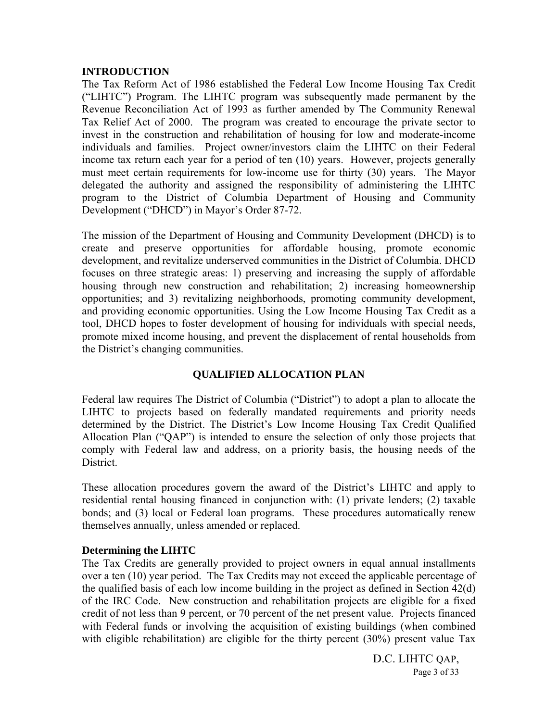#### **INTRODUCTION**

The Tax Reform Act of 1986 established the Federal Low Income Housing Tax Credit ("LIHTC") Program. The LIHTC program was subsequently made permanent by the Revenue Reconciliation Act of 1993 as further amended by The Community Renewal Tax Relief Act of 2000. The program was created to encourage the private sector to invest in the construction and rehabilitation of housing for low and moderate-income individuals and families. Project owner/investors claim the LIHTC on their Federal income tax return each year for a period of ten (10) years. However, projects generally must meet certain requirements for low-income use for thirty (30) years. The Mayor delegated the authority and assigned the responsibility of administering the LIHTC program to the District of Columbia Department of Housing and Community Development ("DHCD") in Mayor's Order 87-72.

The mission of the Department of Housing and Community Development (DHCD) is to create and preserve opportunities for affordable housing, promote economic development, and revitalize underserved communities in the District of Columbia. DHCD focuses on three strategic areas: 1) preserving and increasing the supply of affordable housing through new construction and rehabilitation; 2) increasing homeownership opportunities; and 3) revitalizing neighborhoods, promoting community development, and providing economic opportunities. Using the Low Income Housing Tax Credit as a tool, DHCD hopes to foster development of housing for individuals with special needs, promote mixed income housing, and prevent the displacement of rental households from the District's changing communities.

#### **QUALIFIED ALLOCATION PLAN**

Federal law requires The District of Columbia ("District") to adopt a plan to allocate the LIHTC to projects based on federally mandated requirements and priority needs determined by the District. The District's Low Income Housing Tax Credit Qualified Allocation Plan ("QAP") is intended to ensure the selection of only those projects that comply with Federal law and address, on a priority basis, the housing needs of the District.

These allocation procedures govern the award of the District's LIHTC and apply to residential rental housing financed in conjunction with: (1) private lenders; (2) taxable bonds; and (3) local or Federal loan programs. These procedures automatically renew themselves annually, unless amended or replaced.

#### **Determining the LIHTC**

The Tax Credits are generally provided to project owners in equal annual installments over a ten (10) year period. The Tax Credits may not exceed the applicable percentage of the qualified basis of each low income building in the project as defined in Section 42(d) of the IRC Code. New construction and rehabilitation projects are eligible for a fixed credit of not less than 9 percent, or 70 percent of the net present value. Projects financed with Federal funds or involving the acquisition of existing buildings (when combined with eligible rehabilitation) are eligible for the thirty percent (30%) present value Tax

> D.C. LIHTC QAP, Page 3 of 33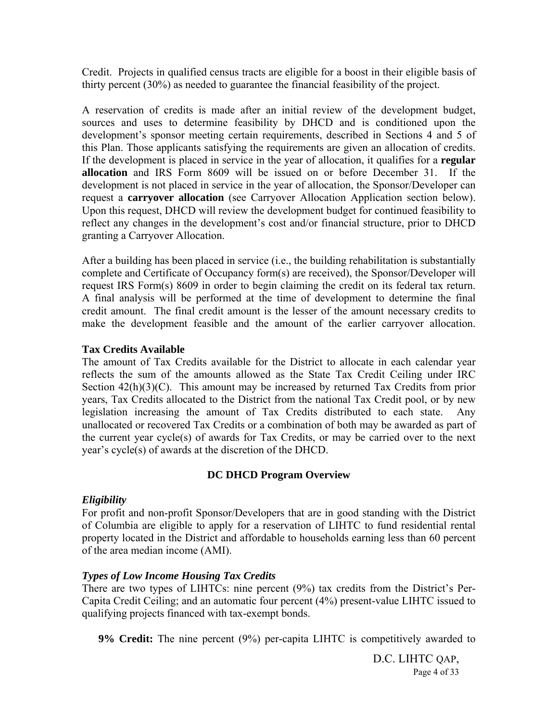Credit. Projects in qualified census tracts are eligible for a boost in their eligible basis of thirty percent (30%) as needed to guarantee the financial feasibility of the project.

A reservation of credits is made after an initial review of the development budget, sources and uses to determine feasibility by DHCD and is conditioned upon the development's sponsor meeting certain requirements, described in Sections 4 and 5 of this Plan. Those applicants satisfying the requirements are given an allocation of credits. If the development is placed in service in the year of allocation, it qualifies for a **regular allocation** and IRS Form 8609 will be issued on or before December 31. If the development is not placed in service in the year of allocation, the Sponsor/Developer can request a **carryover allocation** (see Carryover Allocation Application section below). Upon this request, DHCD will review the development budget for continued feasibility to reflect any changes in the development's cost and/or financial structure, prior to DHCD granting a Carryover Allocation.

After a building has been placed in service (i.e., the building rehabilitation is substantially complete and Certificate of Occupancy form(s) are received), the Sponsor/Developer will request IRS Form(s) 8609 in order to begin claiming the credit on its federal tax return. A final analysis will be performed at the time of development to determine the final credit amount. The final credit amount is the lesser of the amount necessary credits to make the development feasible and the amount of the earlier carryover allocation.

#### **Tax Credits Available**

The amount of Tax Credits available for the District to allocate in each calendar year reflects the sum of the amounts allowed as the State Tax Credit Ceiling under IRC Section  $42(h)(3)(C)$ . This amount may be increased by returned Tax Credits from prior years, Tax Credits allocated to the District from the national Tax Credit pool, or by new legislation increasing the amount of Tax Credits distributed to each state. Any unallocated or recovered Tax Credits or a combination of both may be awarded as part of the current year cycle(s) of awards for Tax Credits, or may be carried over to the next year's cycle(s) of awards at the discretion of the DHCD.

#### **DC DHCD Program Overview**

#### *Eligibility*

For profit and non-profit Sponsor/Developers that are in good standing with the District of Columbia are eligible to apply for a reservation of LIHTC to fund residential rental property located in the District and affordable to households earning less than 60 percent of the area median income (AMI).

#### *Types of Low Income Housing Tax Credits*

There are two types of LIHTCs: nine percent (9%) tax credits from the District's Per-Capita Credit Ceiling; and an automatic four percent (4%) present-value LIHTC issued to qualifying projects financed with tax-exempt bonds.

**9% Credit:** The nine percent (9%) per-capita LIHTC is competitively awarded to

D.C. LIHTC QAP, Page 4 of 33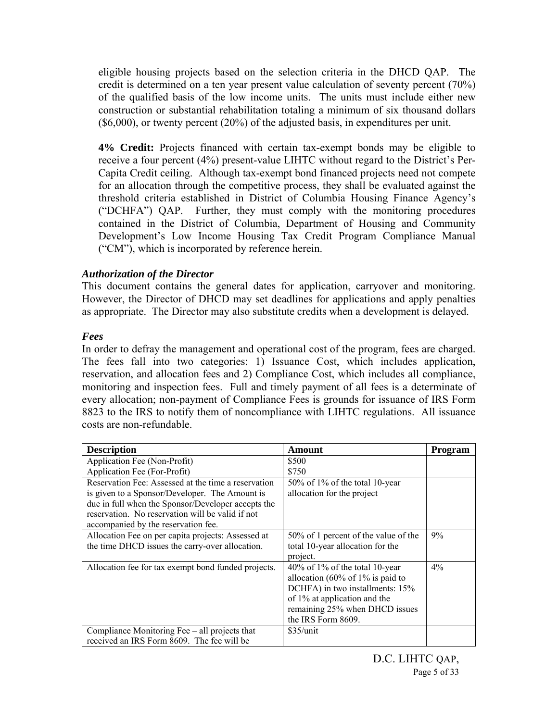eligible housing projects based on the selection criteria in the DHCD QAP. The credit is determined on a ten year present value calculation of seventy percent (70%) of the qualified basis of the low income units. The units must include either new construction or substantial rehabilitation totaling a minimum of six thousand dollars (\$6,000), or twenty percent (20%) of the adjusted basis, in expenditures per unit.

**4% Credit:** Projects financed with certain tax-exempt bonds may be eligible to receive a four percent (4%) present-value LIHTC without regard to the District's Per-Capita Credit ceiling. Although tax-exempt bond financed projects need not compete for an allocation through the competitive process, they shall be evaluated against the threshold criteria established in District of Columbia Housing Finance Agency's ("DCHFA") QAP. Further, they must comply with the monitoring procedures contained in the District of Columbia, Department of Housing and Community Development's Low Income Housing Tax Credit Program Compliance Manual ("CM"), which is incorporated by reference herein.

#### *Authorization of the Director*

This document contains the general dates for application, carryover and monitoring. However, the Director of DHCD may set deadlines for applications and apply penalties as appropriate. The Director may also substitute credits when a development is delayed.

#### *Fees*

In order to defray the management and operational cost of the program, fees are charged. The fees fall into two categories: 1) Issuance Cost, which includes application, reservation, and allocation fees and 2) Compliance Cost, which includes all compliance, monitoring and inspection fees. Full and timely payment of all fees is a determinate of every allocation; non-payment of Compliance Fees is grounds for issuance of IRS Form 8823 to the IRS to notify them of noncompliance with LIHTC regulations. All issuance costs are non-refundable.

| <b>Description</b>                                                                                                                                                                                                                                     | Amount                                                                                                                                                                                              | Program |
|--------------------------------------------------------------------------------------------------------------------------------------------------------------------------------------------------------------------------------------------------------|-----------------------------------------------------------------------------------------------------------------------------------------------------------------------------------------------------|---------|
| Application Fee (Non-Profit)                                                                                                                                                                                                                           | \$500                                                                                                                                                                                               |         |
| Application Fee (For-Profit)                                                                                                                                                                                                                           | \$750                                                                                                                                                                                               |         |
| Reservation Fee: Assessed at the time a reservation<br>is given to a Sponsor/Developer. The Amount is<br>due in full when the Sponsor/Developer accepts the<br>reservation. No reservation will be valid if not<br>accompanied by the reservation fee. | 50% of 1% of the total 10-year<br>allocation for the project                                                                                                                                        |         |
| Allocation Fee on per capita projects: Assessed at<br>the time DHCD issues the carry-over allocation.                                                                                                                                                  | 50% of 1 percent of the value of the<br>total 10-year allocation for the<br>project.                                                                                                                | 9%      |
| Allocation fee for tax exempt bond funded projects.                                                                                                                                                                                                    | $40\%$ of 1% of the total 10-year<br>allocation (60% of $1\%$ is paid to<br>DCHFA) in two installments: 15%<br>of 1% at application and the<br>remaining 25% when DHCD issues<br>the IRS Form 8609. | $4\%$   |
| Compliance Monitoring Fee – all projects that<br>received an IRS Form 8609. The fee will be                                                                                                                                                            | $$35/$ unit                                                                                                                                                                                         |         |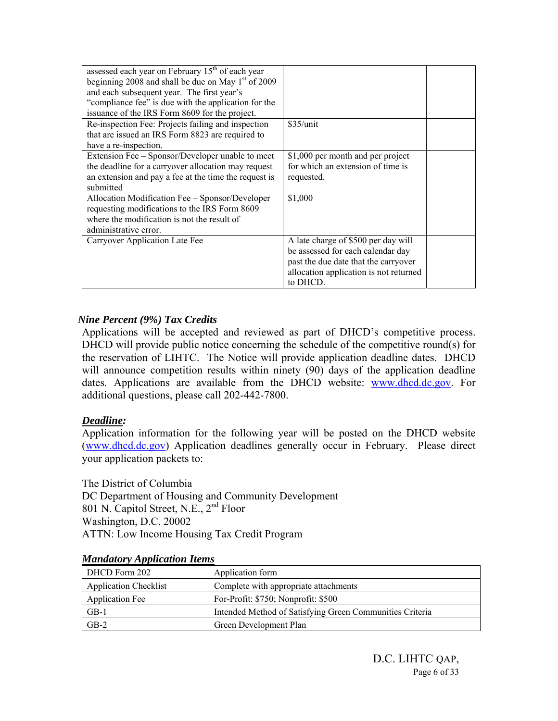| assessed each year on February 15 <sup>th</sup> of each year<br>beginning 2008 and shall be due on May $1st$ of 2009<br>and each subsequent year. The first year's |                                        |  |
|--------------------------------------------------------------------------------------------------------------------------------------------------------------------|----------------------------------------|--|
| "compliance fee" is due with the application for the                                                                                                               |                                        |  |
| issuance of the IRS Form 8609 for the project.                                                                                                                     |                                        |  |
| Re-inspection Fee: Projects failing and inspection                                                                                                                 | $$35/$ unit                            |  |
| that are issued an IRS Form 8823 are required to                                                                                                                   |                                        |  |
| have a re-inspection.                                                                                                                                              |                                        |  |
| Extension Fee – Sponsor/Developer unable to meet                                                                                                                   | \$1,000 per month and per project      |  |
| the deadline for a carryover allocation may request                                                                                                                | for which an extension of time is      |  |
| an extension and pay a fee at the time the request is                                                                                                              | requested.                             |  |
| submitted                                                                                                                                                          |                                        |  |
| Allocation Modification Fee - Sponsor/Developer                                                                                                                    | \$1,000                                |  |
| requesting modifications to the IRS Form 8609                                                                                                                      |                                        |  |
| where the modification is not the result of                                                                                                                        |                                        |  |
| administrative error.                                                                                                                                              |                                        |  |
| Carryover Application Late Fee                                                                                                                                     | A late charge of \$500 per day will    |  |
|                                                                                                                                                                    | be assessed for each calendar day      |  |
|                                                                                                                                                                    | past the due date that the carryover   |  |
|                                                                                                                                                                    | allocation application is not returned |  |
|                                                                                                                                                                    | to DHCD.                               |  |

#### *Nine Percent (9%) Tax Credits*

Applications will be accepted and reviewed as part of DHCD's competitive process. DHCD will provide public notice concerning the schedule of the competitive round(s) for the reservation of LIHTC. The Notice will provide application deadline dates. DHCD will announce competition results within ninety (90) days of the application deadline dates. Applications are available from the DHCD website: www.dhcd.dc.gov. For additional questions, please call 202-442-7800.

#### *Deadline:*

Application information for the following year will be posted on the DHCD website (www.dhcd.dc.gov) Application deadlines generally occur in February. Please direct your application packets to:

The District of Columbia DC Department of Housing and Community Development 801 N. Capitol Street, N.E., 2nd Floor Washington, D.C. 20002 ATTN: Low Income Housing Tax Credit Program

| DHCD Form 202                | Application form                                         |
|------------------------------|----------------------------------------------------------|
| <b>Application Checklist</b> | Complete with appropriate attachments                    |
| <b>Application Fee</b>       | For-Profit: \$750; Nonprofit: \$500                      |
| $GB-1$                       | Intended Method of Satisfying Green Communities Criteria |
| $GB-2$                       | Green Development Plan                                   |

#### *Mandatory Application Items*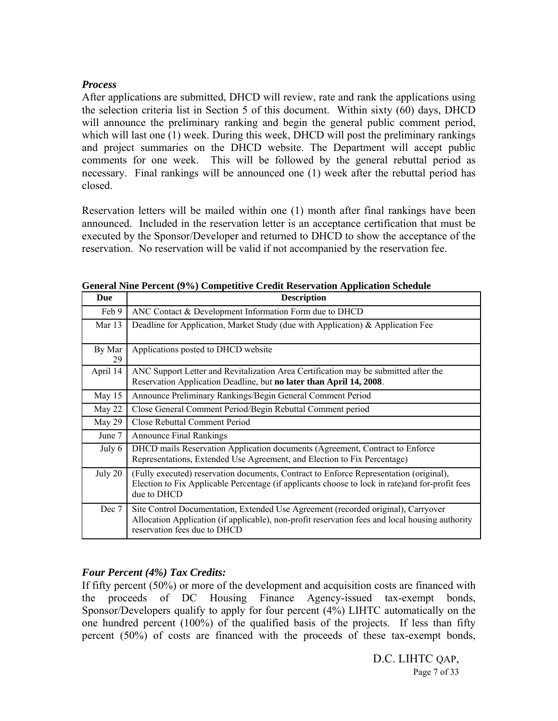#### *Process*

After applications are submitted, DHCD will review, rate and rank the applications using the selection criteria list in Section 5 of this document. Within sixty (60) days, DHCD will announce the preliminary ranking and begin the general public comment period, which will last one (1) week. During this week, DHCD will post the preliminary rankings and project summaries on the DHCD website. The Department will accept public comments for one week. This will be followed by the general rebuttal period as necessary. Final rankings will be announced one (1) week after the rebuttal period has closed.

Reservation letters will be mailed within one (1) month after final rankings have been announced. Included in the reservation letter is an acceptance certification that must be executed by the Sponsor/Developer and returned to DHCD to show the acceptance of the reservation. No reservation will be valid if not accompanied by the reservation fee.

| Due          | <b>Description</b>                                                                                                                                                                                                   |
|--------------|----------------------------------------------------------------------------------------------------------------------------------------------------------------------------------------------------------------------|
| Feb 9        | ANC Contact & Development Information Form due to DHCD                                                                                                                                                               |
| Mar 13       | Deadline for Application, Market Study (due with Application) & Application Fee                                                                                                                                      |
| By Mar<br>29 | Applications posted to DHCD website                                                                                                                                                                                  |
| April 14     | ANC Support Letter and Revitalization Area Certification may be submitted after the<br>Reservation Application Deadline, but no later than April 14, 2008.                                                           |
| May $15$     | Announce Preliminary Rankings/Begin General Comment Period                                                                                                                                                           |
| May 22       | Close General Comment Period/Begin Rebuttal Comment period                                                                                                                                                           |
| May 29       | Close Rebuttal Comment Period                                                                                                                                                                                        |
| June 7       | <b>Announce Final Rankings</b>                                                                                                                                                                                       |
| July 6       | DHCD mails Reservation Application documents (Agreement, Contract to Enforce<br>Representations, Extended Use Agreement, and Election to Fix Percentage)                                                             |
| July 20      | (Fully executed) reservation documents, Contract to Enforce Representation (original),<br>Election to Fix Applicable Percentage (if applicants choose to lock in rate)and for-profit fees<br>due to DHCD             |
| Dec 7        | Site Control Documentation, Extended Use Agreement (recorded original), Carryover<br>Allocation Application (if applicable), non-profit reservation fees and local housing authority<br>reservation fees due to DHCD |

**General Nine Percent (9%) Competitive Credit Reservation Application Schedule** 

#### *Four Percent (4%) Tax Credits:*

If fifty percent (50%) or more of the development and acquisition costs are financed with the proceeds of DC Housing Finance Agency-issued tax-exempt bonds, Sponsor/Developers qualify to apply for four percent (4%) LIHTC automatically on the one hundred percent (100%) of the qualified basis of the projects. If less than fifty percent (50%) of costs are financed with the proceeds of these tax-exempt bonds,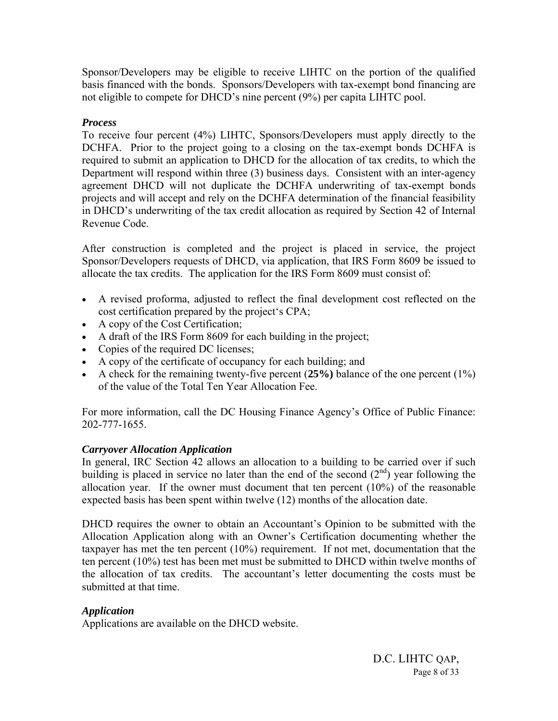Sponsor/Developers may be eligible to receive LIHTC on the portion of the qualified basis financed with the bonds. Sponsors/Developers with tax-exempt bond financing are not eligible to compete for DHCD's nine percent (9%) per capita LIHTC pool.

#### *Process*

To receive four percent (4%) LIHTC, Sponsors/Developers must apply directly to the DCHFA. Prior to the project going to a closing on the tax-exempt bonds DCHFA is required to submit an application to DHCD for the allocation of tax credits, to which the Department will respond within three (3) business days. Consistent with an inter-agency agreement DHCD will not duplicate the DCHFA underwriting of tax-exempt bonds projects and will accept and rely on the DCHFA determination of the financial feasibility in DHCD's underwriting of the tax credit allocation as required by Section 42 of Internal Revenue Code.

After construction is completed and the project is placed in service, the project Sponsor/Developers requests of DHCD, via application, that IRS Form 8609 be issued to allocate the tax credits. The application for the IRS Form 8609 must consist of:

- A revised proforma, adjusted to reflect the final development cost reflected on the cost certification prepared by the project's CPA;
- A copy of the Cost Certification;
- A draft of the IRS Form 8609 for each building in the project;
- Copies of the required DC licenses;
- A copy of the certificate of occupancy for each building; and
- A check for the remaining twenty-five percent (**25%)** balance of the one percent (1%) of the value of the Total Ten Year Allocation Fee.

For more information, call the DC Housing Finance Agency's Office of Public Finance: 202-777-1655.

#### *Carryover Allocation Application*

In general, IRC Section 42 allows an allocation to a building to be carried over if such building is placed in service no later than the end of the second  $(2<sup>nd</sup>)$  year following the allocation year. If the owner must document that ten percent (10%) of the reasonable expected basis has been spent within twelve (12) months of the allocation date.

DHCD requires the owner to obtain an Accountant's Opinion to be submitted with the Allocation Application along with an Owner's Certification documenting whether the taxpayer has met the ten percent (10%) requirement. If not met, documentation that the ten percent (10%) test has been met must be submitted to DHCD within twelve months of the allocation of tax credits. The accountant's letter documenting the costs must be submitted at that time.

#### *Application*

Applications are available on the DHCD website.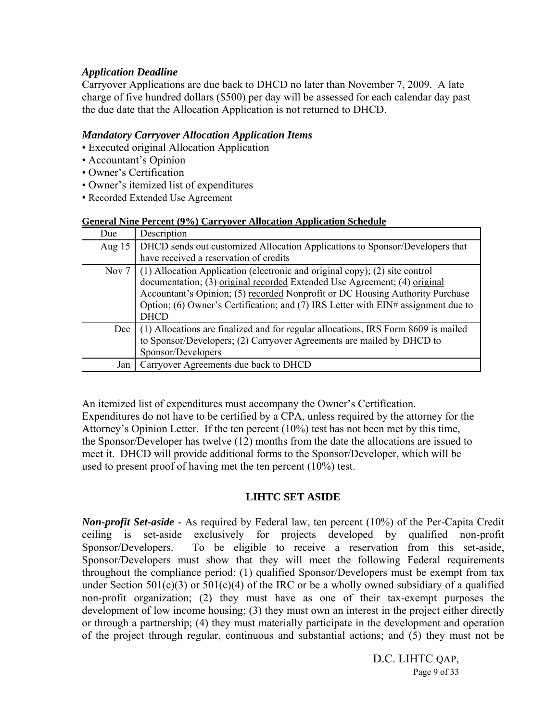#### *Application Deadline*

Carryover Applications are due back to DHCD no later than November 7, 2009. A late charge of five hundred dollars (\$500) per day will be assessed for each calendar day past the due date that the Allocation Application is not returned to DHCD.

#### *Mandatory Carryover Allocation Application Items*

- Executed original Allocation Application
- Accountant's Opinion
- Owner's Certification
- Owner's itemized list of expenditures
- Recorded Extended Use Agreement

#### **General Nine Percent (9%) Carryover Allocation Application Schedule**

| Due      | Description                                                                                                                                                                                                                                                                                                                                                        |
|----------|--------------------------------------------------------------------------------------------------------------------------------------------------------------------------------------------------------------------------------------------------------------------------------------------------------------------------------------------------------------------|
| Aug $15$ | DHCD sends out customized Allocation Applications to Sponsor/Developers that                                                                                                                                                                                                                                                                                       |
|          | have received a reservation of credits                                                                                                                                                                                                                                                                                                                             |
| Nov 7    | (1) Allocation Application (electronic and original copy); (2) site control<br>documentation; $\overrightarrow{(3)}$ original recorded Extended Use Agreement; (4) original<br>Accountant's Opinion; (5) recorded Nonprofit or DC Housing Authority Purchase<br>Option; (6) Owner's Certification; and (7) IRS Letter with $EIN#$ assignment due to<br><b>DHCD</b> |
| Dec      | (1) Allocations are finalized and for regular allocations, IRS Form 8609 is mailed<br>to Sponsor/Developers; (2) Carryover Agreements are mailed by DHCD to<br>Sponsor/Developers                                                                                                                                                                                  |
| Jan      | Carryover Agreements due back to DHCD                                                                                                                                                                                                                                                                                                                              |

An itemized list of expenditures must accompany the Owner's Certification. Expenditures do not have to be certified by a CPA, unless required by the attorney for the Attorney's Opinion Letter. If the ten percent (10%) test has not been met by this time, the Sponsor/Developer has twelve (12) months from the date the allocations are issued to meet it. DHCD will provide additional forms to the Sponsor/Developer, which will be used to present proof of having met the ten percent (10%) test.

#### **LIHTC SET ASIDE**

*Non-profit Set-aside* - As required by Federal law, ten percent (10%) of the Per-Capita Credit ceiling is set-aside exclusively for projects developed by qualified non-profit Sponsor/Developers. To be eligible to receive a reservation from this set-aside, Sponsor/Developers must show that they will meet the following Federal requirements throughout the compliance period: (1) qualified Sponsor/Developers must be exempt from tax under Section  $501(c)(3)$  or  $501(c)(4)$  of the IRC or be a wholly owned subsidiary of a qualified non-profit organization; (2) they must have as one of their tax-exempt purposes the development of low income housing; (3) they must own an interest in the project either directly or through a partnership; (4) they must materially participate in the development and operation of the project through regular, continuous and substantial actions; and (5) they must not be

> D.C. LIHTC QAP, Page 9 of 33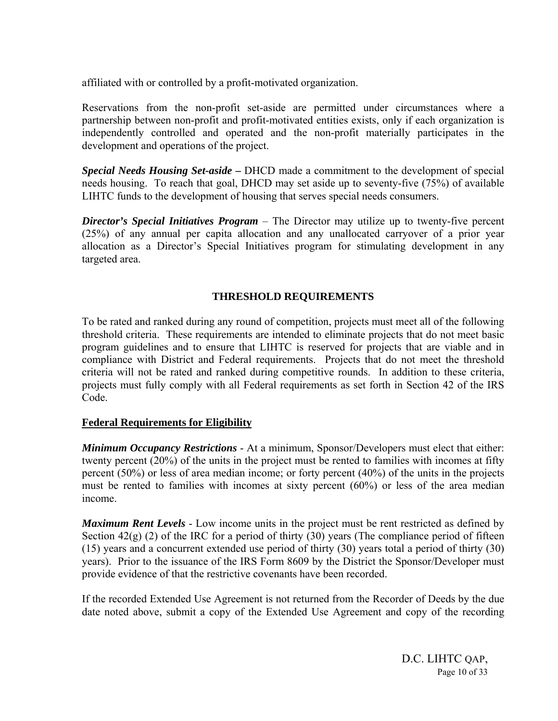affiliated with or controlled by a profit-motivated organization.

Reservations from the non-profit set-aside are permitted under circumstances where a partnership between non-profit and profit-motivated entities exists, only if each organization is independently controlled and operated and the non-profit materially participates in the development and operations of the project.

*Special Needs Housing Set-aside* **–** DHCD made a commitment to the development of special needs housing. To reach that goal, DHCD may set aside up to seventy-five (75%) of available LIHTC funds to the development of housing that serves special needs consumers.

*Director's Special Initiatives Program* – The Director may utilize up to twenty-five percent (25%) of any annual per capita allocation and any unallocated carryover of a prior year allocation as a Director's Special Initiatives program for stimulating development in any targeted area.

#### **THRESHOLD REQUIREMENTS**

To be rated and ranked during any round of competition, projects must meet all of the following threshold criteria. These requirements are intended to eliminate projects that do not meet basic program guidelines and to ensure that LIHTC is reserved for projects that are viable and in compliance with District and Federal requirements. Projects that do not meet the threshold criteria will not be rated and ranked during competitive rounds. In addition to these criteria, projects must fully comply with all Federal requirements as set forth in Section 42 of the IRS Code.

#### **Federal Requirements for Eligibility**

*Minimum Occupancy Restrictions* - At a minimum, Sponsor/Developers must elect that either: twenty percent (20%) of the units in the project must be rented to families with incomes at fifty percent (50%) or less of area median income; or forty percent (40%) of the units in the projects must be rented to families with incomes at sixty percent (60%) or less of the area median income.

*Maximum Rent Levels* - Low income units in the project must be rent restricted as defined by Section  $42(g)$  (2) of the IRC for a period of thirty (30) years (The compliance period of fifteen (15) years and a concurrent extended use period of thirty (30) years total a period of thirty (30) years). Prior to the issuance of the IRS Form 8609 by the District the Sponsor/Developer must provide evidence of that the restrictive covenants have been recorded.

If the recorded Extended Use Agreement is not returned from the Recorder of Deeds by the due date noted above, submit a copy of the Extended Use Agreement and copy of the recording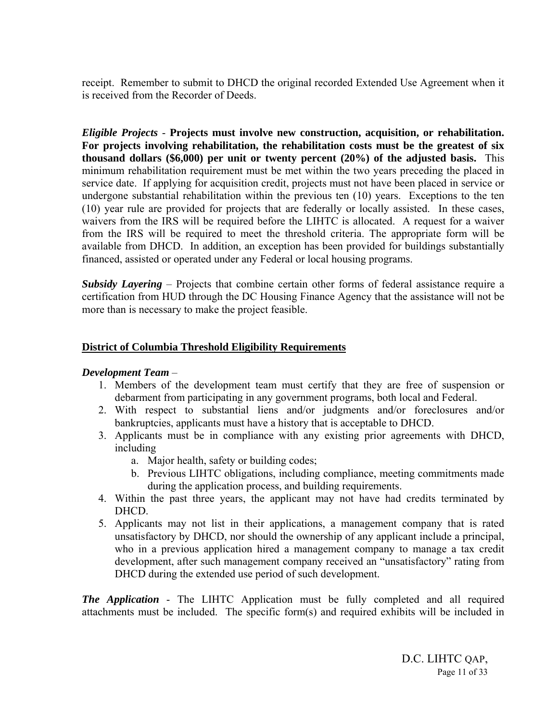receipt. Remember to submit to DHCD the original recorded Extended Use Agreement when it is received from the Recorder of Deeds.

*Eligible Projects* - **Projects must involve new construction, acquisition, or rehabilitation. For projects involving rehabilitation, the rehabilitation costs must be the greatest of six thousand dollars (\$6,000) per unit or twenty percent (20%) of the adjusted basis.** This minimum rehabilitation requirement must be met within the two years preceding the placed in service date. If applying for acquisition credit, projects must not have been placed in service or undergone substantial rehabilitation within the previous ten (10) years. Exceptions to the ten (10) year rule are provided for projects that are federally or locally assisted. In these cases, waivers from the IRS will be required before the LIHTC is allocated. A request for a waiver from the IRS will be required to meet the threshold criteria. The appropriate form will be available from DHCD. In addition, an exception has been provided for buildings substantially financed, assisted or operated under any Federal or local housing programs.

*Subsidy Layering* – Projects that combine certain other forms of federal assistance require a certification from HUD through the DC Housing Finance Agency that the assistance will not be more than is necessary to make the project feasible.

#### **District of Columbia Threshold Eligibility Requirements**

#### *Development Team* –

- 1. Members of the development team must certify that they are free of suspension or debarment from participating in any government programs, both local and Federal.
- 2. With respect to substantial liens and/or judgments and/or foreclosures and/or bankruptcies, applicants must have a history that is acceptable to DHCD.
- 3. Applicants must be in compliance with any existing prior agreements with DHCD, including
	- a. Major health, safety or building codes;
	- b. Previous LIHTC obligations, including compliance, meeting commitments made during the application process, and building requirements.
- 4. Within the past three years, the applicant may not have had credits terminated by DHCD.
- 5. Applicants may not list in their applications, a management company that is rated unsatisfactory by DHCD, nor should the ownership of any applicant include a principal, who in a previous application hired a management company to manage a tax credit development, after such management company received an "unsatisfactory" rating from DHCD during the extended use period of such development.

*The Application* - The LIHTC Application must be fully completed and all required attachments must be included. The specific form(s) and required exhibits will be included in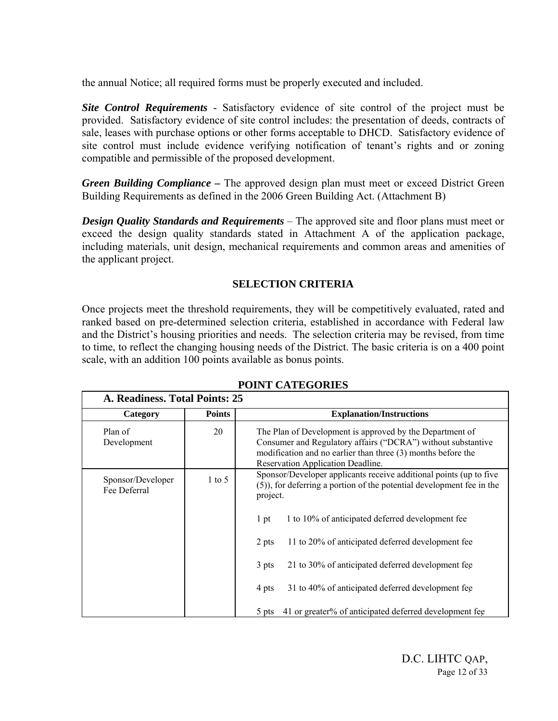the annual Notice; all required forms must be properly executed and included.

*Site Control Requirements* - Satisfactory evidence of site control of the project must be provided. Satisfactory evidence of site control includes: the presentation of deeds, contracts of sale, leases with purchase options or other forms acceptable to DHCD. Satisfactory evidence of site control must include evidence verifying notification of tenant's rights and or zoning compatible and permissible of the proposed development.

*Green Building Compliance* **–** The approved design plan must meet or exceed District Green Building Requirements as defined in the 2006 Green Building Act. (Attachment B)

*Design Quality Standards and Requirements* – The approved site and floor plans must meet or exceed the design quality standards stated in Attachment A of the application package, including materials, unit design, mechanical requirements and common areas and amenities of the applicant project.

#### **SELECTION CRITERIA**

Once projects meet the threshold requirements, they will be competitively evaluated, rated and ranked based on pre-determined selection criteria, established in accordance with Federal law and the District's housing priorities and needs. The selection criteria may be revised, from time to time, to reflect the changing housing needs of the District. The basic criteria is on a 400 point scale, with an addition 100 points available as bonus points.

| A. Readiness. Total Points: 25    |               |                                                                                                                                                                                                                               |
|-----------------------------------|---------------|-------------------------------------------------------------------------------------------------------------------------------------------------------------------------------------------------------------------------------|
| Category                          | <b>Points</b> | <b>Explanation/Instructions</b>                                                                                                                                                                                               |
| Plan of<br>Development            | 20            | The Plan of Development is approved by the Department of<br>Consumer and Regulatory affairs ("DCRA") without substantive<br>modification and no earlier than three (3) months before the<br>Reservation Application Deadline. |
| Sponsor/Developer<br>Fee Deferral | $1$ to 5      | Sponsor/Developer applicants receive additional points (up to five<br>(5)), for deferring a portion of the potential development fee in the<br>project.                                                                       |
|                                   |               | 1 to 10% of anticipated deferred development fee<br>1 pt                                                                                                                                                                      |
|                                   |               | 11 to 20% of anticipated deferred development fee<br>2 pts                                                                                                                                                                    |
|                                   |               | 21 to 30% of anticipated deferred development fee<br>3 pts                                                                                                                                                                    |
|                                   |               | 31 to 40% of anticipated deferred development fee<br>4 pts                                                                                                                                                                    |
|                                   |               | 41 or greater% of anticipated deferred development fee<br>5 pts                                                                                                                                                               |

#### **POINT CATEGORIES**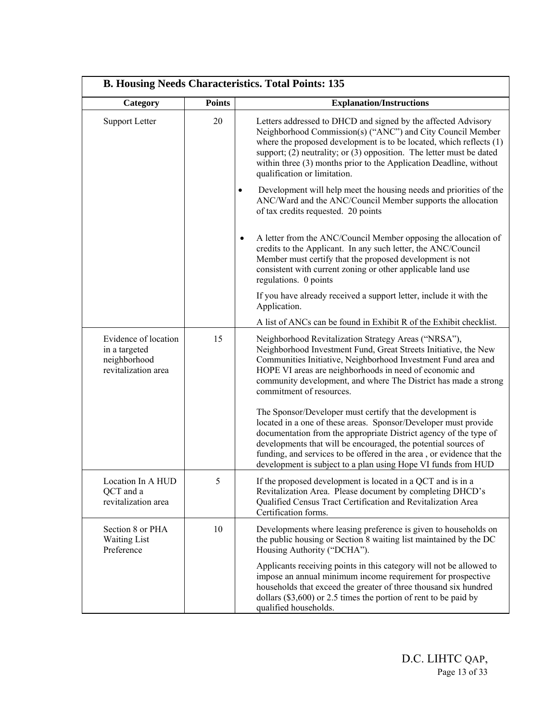| <b>B. Housing Needs Characteristics. Total Points: 135</b>                   |               |                                                                                                                                                                                                                                                                                                                                                                                                                |
|------------------------------------------------------------------------------|---------------|----------------------------------------------------------------------------------------------------------------------------------------------------------------------------------------------------------------------------------------------------------------------------------------------------------------------------------------------------------------------------------------------------------------|
| Category                                                                     | <b>Points</b> | <b>Explanation/Instructions</b>                                                                                                                                                                                                                                                                                                                                                                                |
| <b>Support Letter</b>                                                        | 20            | Letters addressed to DHCD and signed by the affected Advisory<br>Neighborhood Commission(s) ("ANC") and City Council Member<br>where the proposed development is to be located, which reflects $(1)$<br>support; $(2)$ neutrality; or $(3)$ opposition. The letter must be dated<br>within three (3) months prior to the Application Deadline, without<br>qualification or limitation.                         |
|                                                                              |               | Development will help meet the housing needs and priorities of the<br>$\bullet$<br>ANC/Ward and the ANC/Council Member supports the allocation<br>of tax credits requested. 20 points                                                                                                                                                                                                                          |
|                                                                              |               | A letter from the ANC/Council Member opposing the allocation of<br>$\bullet$<br>credits to the Applicant. In any such letter, the ANC/Council<br>Member must certify that the proposed development is not<br>consistent with current zoning or other applicable land use<br>regulations. 0 points                                                                                                              |
|                                                                              |               | If you have already received a support letter, include it with the<br>Application.                                                                                                                                                                                                                                                                                                                             |
|                                                                              |               | A list of ANCs can be found in Exhibit R of the Exhibit checklist.                                                                                                                                                                                                                                                                                                                                             |
| Evidence of location<br>in a targeted<br>neighborhood<br>revitalization area | 15            | Neighborhood Revitalization Strategy Areas ("NRSA"),<br>Neighborhood Investment Fund, Great Streets Initiative, the New<br>Communities Initiative, Neighborhood Investment Fund area and<br>HOPE VI areas are neighborhoods in need of economic and<br>community development, and where The District has made a strong<br>commitment of resources.                                                             |
|                                                                              |               | The Sponsor/Developer must certify that the development is<br>located in a one of these areas. Sponsor/Developer must provide<br>documentation from the appropriate District agency of the type of<br>developments that will be encouraged, the potential sources of<br>funding, and services to be offered in the area, or evidence that the<br>development is subject to a plan using Hope VI funds from HUD |
| Location In A HUD<br>QCT and a<br>revitalization area                        | 5             | If the proposed development is located in a QCT and is in a<br>Revitalization Area. Please document by completing DHCD's<br>Qualified Census Tract Certification and Revitalization Area<br>Certification forms.                                                                                                                                                                                               |
| Section 8 or PHA<br>Waiting List<br>Preference                               | 10            | Developments where leasing preference is given to households on<br>the public housing or Section 8 waiting list maintained by the DC<br>Housing Authority ("DCHA").                                                                                                                                                                                                                                            |
|                                                                              |               | Applicants receiving points in this category will not be allowed to<br>impose an annual minimum income requirement for prospective<br>households that exceed the greater of three thousand six hundred<br>dollars $(\$3,600)$ or 2.5 times the portion of rent to be paid by<br>qualified households.                                                                                                          |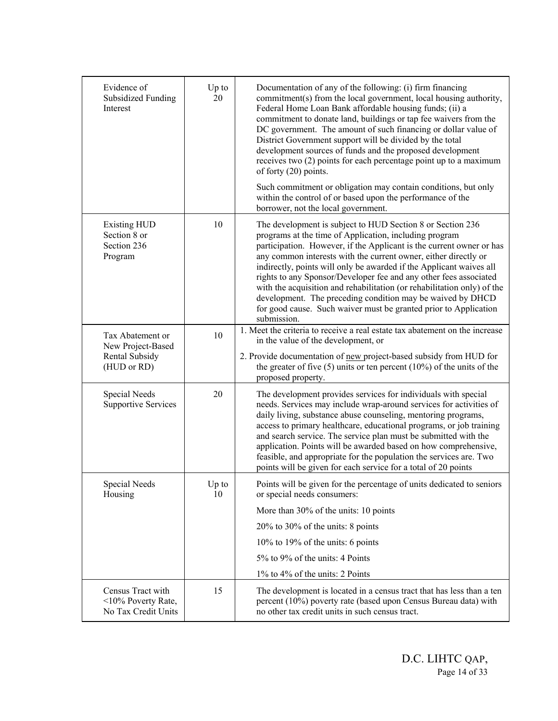| Evidence of<br><b>Subsidized Funding</b><br>Interest                   | Up to<br>20 | Documentation of any of the following: (i) firm financing<br>commitment(s) from the local government, local housing authority,<br>Federal Home Loan Bank affordable housing funds; (ii) a<br>commitment to donate land, buildings or tap fee waivers from the<br>DC government. The amount of such financing or dollar value of<br>District Government support will be divided by the total<br>development sources of funds and the proposed development<br>receives two (2) points for each percentage point up to a maximum<br>of forty (20) points.<br>Such commitment or obligation may contain conditions, but only<br>within the control of or based upon the performance of the |
|------------------------------------------------------------------------|-------------|----------------------------------------------------------------------------------------------------------------------------------------------------------------------------------------------------------------------------------------------------------------------------------------------------------------------------------------------------------------------------------------------------------------------------------------------------------------------------------------------------------------------------------------------------------------------------------------------------------------------------------------------------------------------------------------|
| <b>Existing HUD</b><br>Section 8 or<br>Section 236<br>Program          | 10          | borrower, not the local government.<br>The development is subject to HUD Section 8 or Section 236<br>programs at the time of Application, including program<br>participation. However, if the Applicant is the current owner or has<br>any common interests with the current owner, either directly or<br>indirectly, points will only be awarded if the Applicant waives all<br>rights to any Sponsor/Developer fee and any other fees associated<br>with the acquisition and rehabilitation (or rehabilitation only) of the<br>development. The preceding condition may be waived by DHCD<br>for good cause. Such waiver must be granted prior to Application<br>submission.         |
| Tax Abatement or<br>New Project-Based<br>Rental Subsidy<br>(HUD or RD) | 10          | 1. Meet the criteria to receive a real estate tax abatement on the increase<br>in the value of the development, or<br>2. Provide documentation of new project-based subsidy from HUD for<br>the greater of five $(5)$ units or ten percent $(10\%)$ of the units of the<br>proposed property.                                                                                                                                                                                                                                                                                                                                                                                          |
| Special Needs<br><b>Supportive Services</b>                            | 20          | The development provides services for individuals with special<br>needs. Services may include wrap-around services for activities of<br>daily living, substance abuse counseling, mentoring programs,<br>access to primary healthcare, educational programs, or job training<br>and search service. The service plan must be submitted with the<br>application. Points will be awarded based on how comprehensive,<br>feasible, and appropriate for the population the services are. Two<br>points will be given for each service for a total of 20 points                                                                                                                             |
| Special Needs<br>Housing                                               | Up to<br>10 | Points will be given for the percentage of units dedicated to seniors<br>or special needs consumers:<br>More than 30% of the units: 10 points<br>20% to 30% of the units: 8 points<br>10% to 19% of the units: 6 points<br>5% to 9% of the units: 4 Points<br>1% to 4% of the units: 2 Points                                                                                                                                                                                                                                                                                                                                                                                          |
| Census Tract with<br><10% Poverty Rate,<br>No Tax Credit Units         | 15          | The development is located in a census tract that has less than a ten<br>percent (10%) poverty rate (based upon Census Bureau data) with<br>no other tax credit units in such census tract.                                                                                                                                                                                                                                                                                                                                                                                                                                                                                            |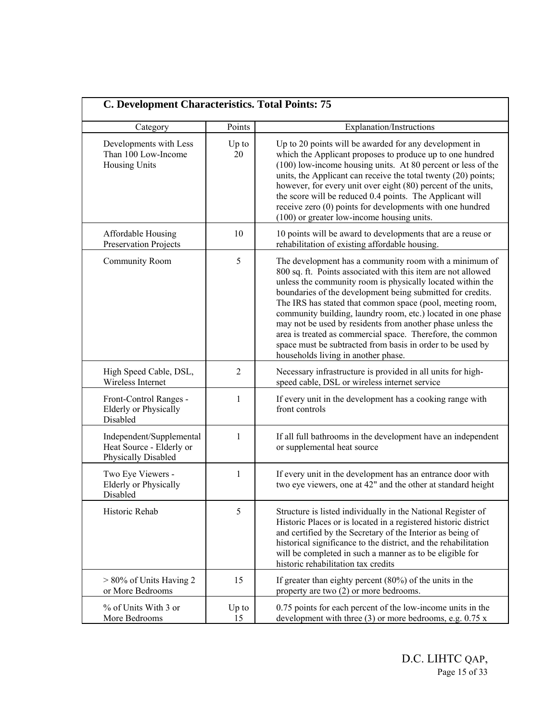| C. Development Characteristics. Total Points: 75                            |                |                                                                                                                                                                                                                                                                                                                                                                                                                                                                                                                                                                                                                  |
|-----------------------------------------------------------------------------|----------------|------------------------------------------------------------------------------------------------------------------------------------------------------------------------------------------------------------------------------------------------------------------------------------------------------------------------------------------------------------------------------------------------------------------------------------------------------------------------------------------------------------------------------------------------------------------------------------------------------------------|
| Category                                                                    | Points         | Explanation/Instructions                                                                                                                                                                                                                                                                                                                                                                                                                                                                                                                                                                                         |
| Developments with Less<br>Than 100 Low-Income<br>Housing Units              | $Up$ to<br>20  | Up to 20 points will be awarded for any development in<br>which the Applicant proposes to produce up to one hundred<br>(100) low-income housing units. At 80 percent or less of the<br>units, the Applicant can receive the total twenty (20) points;<br>however, for every unit over eight (80) percent of the units,<br>the score will be reduced 0.4 points. The Applicant will<br>receive zero (0) points for developments with one hundred<br>(100) or greater low-income housing units.                                                                                                                    |
| Affordable Housing<br>Preservation Projects                                 | 10             | 10 points will be award to developments that are a reuse or<br>rehabilitation of existing affordable housing.                                                                                                                                                                                                                                                                                                                                                                                                                                                                                                    |
| <b>Community Room</b>                                                       | 5              | The development has a community room with a minimum of<br>800 sq. ft. Points associated with this item are not allowed<br>unless the community room is physically located within the<br>boundaries of the development being submitted for credits.<br>The IRS has stated that common space (pool, meeting room,<br>community building, laundry room, etc.) located in one phase<br>may not be used by residents from another phase unless the<br>area is treated as commercial space. Therefore, the common<br>space must be subtracted from basis in order to be used by<br>households living in another phase. |
| High Speed Cable, DSL,<br>Wireless Internet                                 | $\overline{2}$ | Necessary infrastructure is provided in all units for high-<br>speed cable, DSL or wireless internet service                                                                                                                                                                                                                                                                                                                                                                                                                                                                                                     |
| Front-Control Ranges -<br><b>Elderly or Physically</b><br>Disabled          | 1              | If every unit in the development has a cooking range with<br>front controls                                                                                                                                                                                                                                                                                                                                                                                                                                                                                                                                      |
| Independent/Supplemental<br>Heat Source - Elderly or<br>Physically Disabled | 1              | If all full bathrooms in the development have an independent<br>or supplemental heat source                                                                                                                                                                                                                                                                                                                                                                                                                                                                                                                      |
| Two Eye Viewers -<br><b>Elderly or Physically</b><br>Disabled               | 1              | If every unit in the development has an entrance door with<br>two eye viewers, one at 42" and the other at standard height                                                                                                                                                                                                                                                                                                                                                                                                                                                                                       |
| Historic Rehab                                                              | 5              | Structure is listed individually in the National Register of<br>Historic Places or is located in a registered historic district<br>and certified by the Secretary of the Interior as being of<br>historical significance to the district, and the rehabilitation<br>will be completed in such a manner as to be eligible for<br>historic rehabilitation tax credits                                                                                                                                                                                                                                              |
| > 80% of Units Having 2<br>or More Bedrooms                                 | 15             | If greater than eighty percent $(80\%)$ of the units in the<br>property are two (2) or more bedrooms.                                                                                                                                                                                                                                                                                                                                                                                                                                                                                                            |
| % of Units With 3 or<br>More Bedrooms                                       | $Up$ to<br>15  | 0.75 points for each percent of the low-income units in the<br>development with three $(3)$ or more bedrooms, e.g. 0.75 x                                                                                                                                                                                                                                                                                                                                                                                                                                                                                        |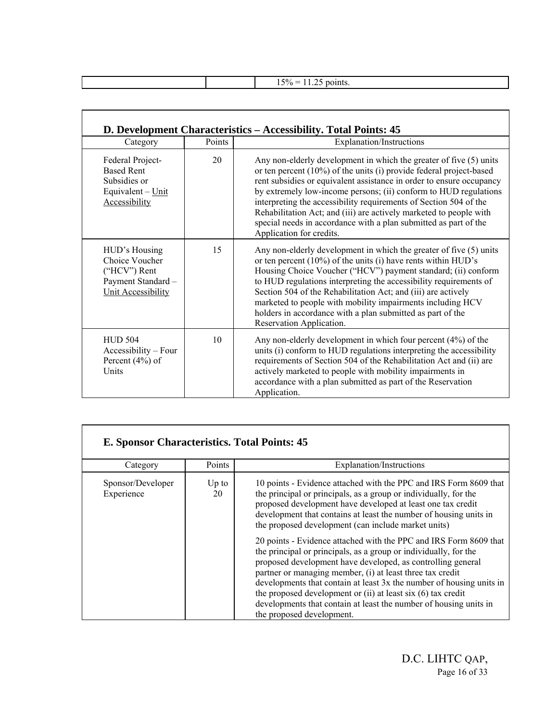|  | $.50/2 = 1$<br>DOINTS.<br>.<br>$- - - -$<br>. . <b>.</b> .<br>____ |
|--|--------------------------------------------------------------------|
|  |                                                                    |

 $\mathsf{\Gamma}$ 

|                                                                                                    |        | D. Development Characteristics – Accessibility. Total Points: 45                                                                                                                                                                                                                                                                                                                                                                                                                                                                    |
|----------------------------------------------------------------------------------------------------|--------|-------------------------------------------------------------------------------------------------------------------------------------------------------------------------------------------------------------------------------------------------------------------------------------------------------------------------------------------------------------------------------------------------------------------------------------------------------------------------------------------------------------------------------------|
| Category                                                                                           | Points | <b>Explanation/Instructions</b>                                                                                                                                                                                                                                                                                                                                                                                                                                                                                                     |
| Federal Project-<br><b>Based Rent</b><br>Subsidies or<br>Equivalent - Unit<br>Accessibility        | 20     | Any non-elderly development in which the greater of five (5) units<br>or ten percent $(10\%)$ of the units (i) provide federal project-based<br>rent subsidies or equivalent assistance in order to ensure occupancy<br>by extremely low-income persons; (ii) conform to HUD regulations<br>interpreting the accessibility requirements of Section 504 of the<br>Rehabilitation Act; and (iii) are actively marketed to people with<br>special needs in accordance with a plan submitted as part of the<br>Application for credits. |
| HUD's Housing<br>Choice Voucher<br>("HCV") Rent<br>Payment Standard -<br><b>Unit Accessibility</b> | 15     | Any non-elderly development in which the greater of five (5) units<br>or ten percent $(10\%)$ of the units (i) have rents within HUD's<br>Housing Choice Voucher ("HCV") payment standard; (ii) conform<br>to HUD regulations interpreting the accessibility requirements of<br>Section 504 of the Rehabilitation Act; and (iii) are actively<br>marketed to people with mobility impairments including HCV<br>holders in accordance with a plan submitted as part of the<br>Reservation Application.                               |
| $HUD$ 504<br>Accessibility – Four<br>Percent $(4%)$ of<br>Units                                    | 10     | Any non-elderly development in which four percent $(4%)$ of the<br>units (i) conform to HUD regulations interpreting the accessibility<br>requirements of Section 504 of the Rehabilitation Act and (ii) are<br>actively marketed to people with mobility impairments in<br>accordance with a plan submitted as part of the Reservation<br>Application.                                                                                                                                                                             |

| E. Sponsor Characteristics. Total Points: 45 |               |                                                                                                                                                                                                                                                                                                                                                                                                                                                                                                                 |  |  |
|----------------------------------------------|---------------|-----------------------------------------------------------------------------------------------------------------------------------------------------------------------------------------------------------------------------------------------------------------------------------------------------------------------------------------------------------------------------------------------------------------------------------------------------------------------------------------------------------------|--|--|
| Category                                     | Points        | Explanation/Instructions                                                                                                                                                                                                                                                                                                                                                                                                                                                                                        |  |  |
| Sponsor/Developer<br>Experience              | $Up$ to<br>20 | 10 points - Evidence attached with the PPC and IRS Form 8609 that<br>the principal or principals, as a group or individually, for the<br>proposed development have developed at least one tax credit<br>development that contains at least the number of housing units in<br>the proposed development (can include market units)                                                                                                                                                                                |  |  |
|                                              |               | 20 points - Evidence attached with the PPC and IRS Form 8609 that<br>the principal or principals, as a group or individually, for the<br>proposed development have developed, as controlling general<br>partner or managing member, (i) at least three tax credit<br>developments that contain at least 3x the number of housing units in<br>the proposed development or $(ii)$ at least six $(6)$ tax credit<br>developments that contain at least the number of housing units in<br>the proposed development. |  |  |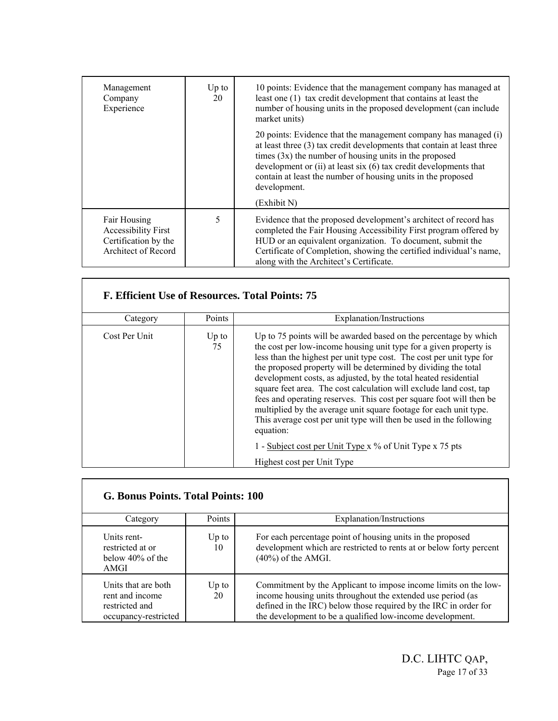| Management<br>Company<br>Experience                                                       | $Up$ to<br>20 | 10 points: Evidence that the management company has managed at<br>least one (1) tax credit development that contains at least the<br>number of housing units in the proposed development (can include<br>market units)                                                                                                                                                        |  |
|-------------------------------------------------------------------------------------------|---------------|-------------------------------------------------------------------------------------------------------------------------------------------------------------------------------------------------------------------------------------------------------------------------------------------------------------------------------------------------------------------------------|--|
|                                                                                           |               | 20 points: Evidence that the management company has managed (i)<br>at least three (3) tax credit developments that contain at least three<br>times $(3x)$ the number of housing units in the proposed<br>development or $(ii)$ at least six $(6)$ tax credit developments that<br>contain at least the number of housing units in the proposed<br>development.<br>(Exhibit N) |  |
| Fair Housing<br><b>Accessibility First</b><br>Certification by the<br>Architect of Record | 5             | Evidence that the proposed development's architect of record has<br>completed the Fair Housing Accessibility First program offered by<br>HUD or an equivalent organization. To document, submit the<br>Certificate of Completion, showing the certified individual's name,<br>along with the Architect's Certificate.                                                         |  |

| F. Efficient Use of Resources. Total Points: 75 |               |                                                                                                                                                                                                                                                                                                                                                                                                                                                                                                                                                                                                                                                                                                                                                   |
|-------------------------------------------------|---------------|---------------------------------------------------------------------------------------------------------------------------------------------------------------------------------------------------------------------------------------------------------------------------------------------------------------------------------------------------------------------------------------------------------------------------------------------------------------------------------------------------------------------------------------------------------------------------------------------------------------------------------------------------------------------------------------------------------------------------------------------------|
| Category                                        | Points        | Explanation/Instructions                                                                                                                                                                                                                                                                                                                                                                                                                                                                                                                                                                                                                                                                                                                          |
| Cost Per Unit                                   | $Up$ to<br>75 | Up to 75 points will be awarded based on the percentage by which<br>the cost per low-income housing unit type for a given property is<br>less than the highest per unit type cost. The cost per unit type for<br>the proposed property will be determined by dividing the total<br>development costs, as adjusted, by the total heated residential<br>square feet area. The cost calculation will exclude land cost, tap<br>fees and operating reserves. This cost per square foot will then be<br>multiplied by the average unit square footage for each unit type.<br>This average cost per unit type will then be used in the following<br>equation:<br>1 - Subject cost per Unit Type x % of Unit Type x 75 pts<br>Highest cost per Unit Type |

Г

 $\Gamma$ 

| G. Bonus Points. Total Points: 100                                               |               |                                                                                                                                                                                                                                                                 |  |  |
|----------------------------------------------------------------------------------|---------------|-----------------------------------------------------------------------------------------------------------------------------------------------------------------------------------------------------------------------------------------------------------------|--|--|
| Category                                                                         | Points        | Explanation/Instructions                                                                                                                                                                                                                                        |  |  |
| Units rent-<br>restricted at or<br>below $40\%$ of the<br>AMGI                   | $Up$ to<br>10 | For each percentage point of housing units in the proposed<br>development which are restricted to rents at or below forty percent<br>$(40\%)$ of the AMGI.                                                                                                      |  |  |
| Units that are both<br>rent and income<br>restricted and<br>occupancy-restricted | $Up$ to<br>20 | Commitment by the Applicant to impose income limits on the low-<br>income housing units throughout the extended use period (as<br>defined in the IRC) below those required by the IRC in order for<br>the development to be a qualified low-income development. |  |  |

٦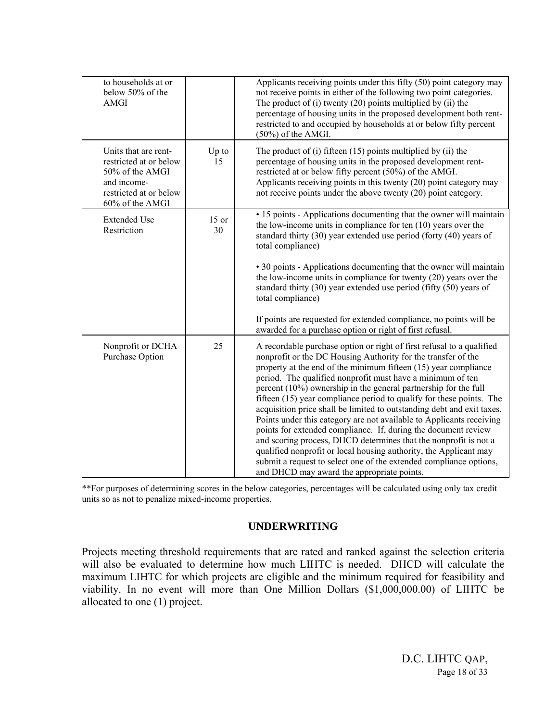| to households at or<br>below 50% of the<br><b>AMGI</b>                                                                        |               | Applicants receiving points under this fifty (50) point category may<br>not receive points in either of the following two point categories.<br>The product of $(i)$ twenty $(20)$ points multiplied by $(ii)$ the<br>percentage of housing units in the proposed development both rent-<br>restricted to and occupied by households at or below fifty percent<br>$(50\%)$ of the AMGI.                                                                                                                                                                                                                                                                                                                                                                                                                                                                                                              |
|-------------------------------------------------------------------------------------------------------------------------------|---------------|-----------------------------------------------------------------------------------------------------------------------------------------------------------------------------------------------------------------------------------------------------------------------------------------------------------------------------------------------------------------------------------------------------------------------------------------------------------------------------------------------------------------------------------------------------------------------------------------------------------------------------------------------------------------------------------------------------------------------------------------------------------------------------------------------------------------------------------------------------------------------------------------------------|
| Units that are rent-<br>restricted at or below<br>50% of the AMGI<br>and income-<br>restricted at or below<br>60% of the AMGI | $Up$ to<br>15 | The product of $(i)$ fifteen $(15)$ points multiplied by $(ii)$ the<br>percentage of housing units in the proposed development rent-<br>restricted at or below fifty percent (50%) of the AMGI.<br>Applicants receiving points in this twenty (20) point category may<br>not receive points under the above twenty (20) point category.                                                                                                                                                                                                                                                                                                                                                                                                                                                                                                                                                             |
| <b>Extended Use</b><br>Restriction                                                                                            | $15$ or<br>30 | • 15 points - Applications documenting that the owner will maintain<br>the low-income units in compliance for ten $(10)$ years over the<br>standard thirty (30) year extended use period (forty (40) years of<br>total compliance)<br>• 30 points - Applications documenting that the owner will maintain<br>the low-income units in compliance for twenty (20) years over the<br>standard thirty (30) year extended use period (fifty (50) years of<br>total compliance)<br>If points are requested for extended compliance, no points will be<br>awarded for a purchase option or right of first refusal.                                                                                                                                                                                                                                                                                         |
| Nonprofit or DCHA<br>Purchase Option                                                                                          | 25            | A recordable purchase option or right of first refusal to a qualified<br>nonprofit or the DC Housing Authority for the transfer of the<br>property at the end of the minimum fifteen (15) year compliance<br>period. The qualified nonprofit must have a minimum of ten<br>percent (10%) ownership in the general partnership for the full<br>fifteen (15) year compliance period to qualify for these points. The<br>acquisition price shall be limited to outstanding debt and exit taxes.<br>Points under this category are not available to Applicants receiving<br>points for extended compliance. If, during the document review<br>and scoring process, DHCD determines that the nonprofit is not a<br>qualified nonprofit or local housing authority, the Applicant may<br>submit a request to select one of the extended compliance options,<br>and DHCD may award the appropriate points. |

\*\*For purposes of determining scores in the below categories, percentages will be calculated using only tax credit units so as not to penalize mixed-income properties.

#### **UNDERWRITING**

Projects meeting threshold requirements that are rated and ranked against the selection criteria will also be evaluated to determine how much LIHTC is needed. DHCD will calculate the maximum LIHTC for which projects are eligible and the minimum required for feasibility and viability. In no event will more than One Million Dollars (\$1,000,000.00) of LIHTC be allocated to one (1) project.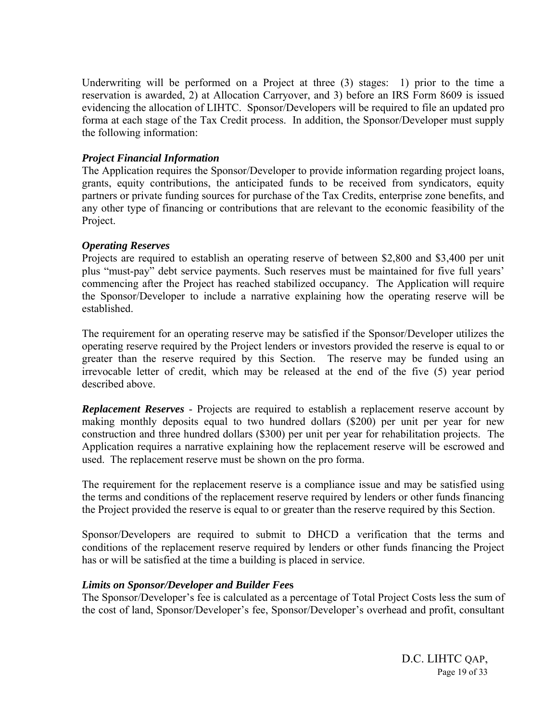Underwriting will be performed on a Project at three (3) stages: 1) prior to the time a reservation is awarded, 2) at Allocation Carryover, and 3) before an IRS Form 8609 is issued evidencing the allocation of LIHTC. Sponsor/Developers will be required to file an updated pro forma at each stage of the Tax Credit process. In addition, the Sponsor/Developer must supply the following information:

#### *Project Financial Information*

The Application requires the Sponsor/Developer to provide information regarding project loans, grants, equity contributions, the anticipated funds to be received from syndicators, equity partners or private funding sources for purchase of the Tax Credits, enterprise zone benefits, and any other type of financing or contributions that are relevant to the economic feasibility of the Project.

#### *Operating Reserves*

Projects are required to establish an operating reserve of between \$2,800 and \$3,400 per unit plus "must-pay" debt service payments. Such reserves must be maintained for five full years' commencing after the Project has reached stabilized occupancy. The Application will require the Sponsor/Developer to include a narrative explaining how the operating reserve will be established.

The requirement for an operating reserve may be satisfied if the Sponsor/Developer utilizes the operating reserve required by the Project lenders or investors provided the reserve is equal to or greater than the reserve required by this Section. The reserve may be funded using an irrevocable letter of credit, which may be released at the end of the five (5) year period described above.

*Replacement Reserves* - Projects are required to establish a replacement reserve account by making monthly deposits equal to two hundred dollars (\$200) per unit per year for new construction and three hundred dollars (\$300) per unit per year for rehabilitation projects. The Application requires a narrative explaining how the replacement reserve will be escrowed and used. The replacement reserve must be shown on the pro forma.

The requirement for the replacement reserve is a compliance issue and may be satisfied using the terms and conditions of the replacement reserve required by lenders or other funds financing the Project provided the reserve is equal to or greater than the reserve required by this Section.

Sponsor/Developers are required to submit to DHCD a verification that the terms and conditions of the replacement reserve required by lenders or other funds financing the Project has or will be satisfied at the time a building is placed in service.

#### *Limits on Sponsor/Developer and Builder Fee***s**

The Sponsor/Developer's fee is calculated as a percentage of Total Project Costs less the sum of the cost of land, Sponsor/Developer's fee, Sponsor/Developer's overhead and profit, consultant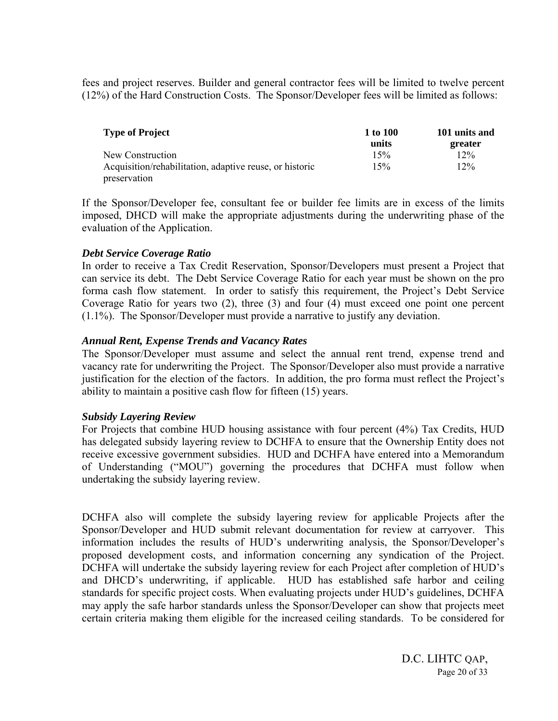fees and project reserves. Builder and general contractor fees will be limited to twelve percent (12%) of the Hard Construction Costs. The Sponsor/Developer fees will be limited as follows:

| <b>Type of Project</b>                                  | 1 to 100 | 101 units and |
|---------------------------------------------------------|----------|---------------|
|                                                         | units    | greater       |
| New Construction                                        | 15%      | 12%           |
| Acquisition/rehabilitation, adaptive reuse, or historic | 15%      | 12%           |
| preservation                                            |          |               |

If the Sponsor/Developer fee, consultant fee or builder fee limits are in excess of the limits imposed, DHCD will make the appropriate adjustments during the underwriting phase of the evaluation of the Application.

#### *Debt Service Coverage Ratio*

In order to receive a Tax Credit Reservation, Sponsor/Developers must present a Project that can service its debt. The Debt Service Coverage Ratio for each year must be shown on the pro forma cash flow statement. In order to satisfy this requirement, the Project's Debt Service Coverage Ratio for years two (2), three (3) and four (4) must exceed one point one percent (1.1%). The Sponsor/Developer must provide a narrative to justify any deviation.

#### *Annual Rent, Expense Trends and Vacancy Rates*

The Sponsor/Developer must assume and select the annual rent trend, expense trend and vacancy rate for underwriting the Project. The Sponsor/Developer also must provide a narrative justification for the election of the factors. In addition, the pro forma must reflect the Project's ability to maintain a positive cash flow for fifteen (15) years.

#### *Subsidy Layering Review*

For Projects that combine HUD housing assistance with four percent (4%) Tax Credits, HUD has delegated subsidy layering review to DCHFA to ensure that the Ownership Entity does not receive excessive government subsidies. HUD and DCHFA have entered into a Memorandum of Understanding ("MOU") governing the procedures that DCHFA must follow when undertaking the subsidy layering review.

DCHFA also will complete the subsidy layering review for applicable Projects after the Sponsor/Developer and HUD submit relevant documentation for review at carryover. This information includes the results of HUD's underwriting analysis, the Sponsor/Developer's proposed development costs, and information concerning any syndication of the Project. DCHFA will undertake the subsidy layering review for each Project after completion of HUD's and DHCD's underwriting, if applicable. HUD has established safe harbor and ceiling standards for specific project costs. When evaluating projects under HUD's guidelines, DCHFA may apply the safe harbor standards unless the Sponsor/Developer can show that projects meet certain criteria making them eligible for the increased ceiling standards. To be considered for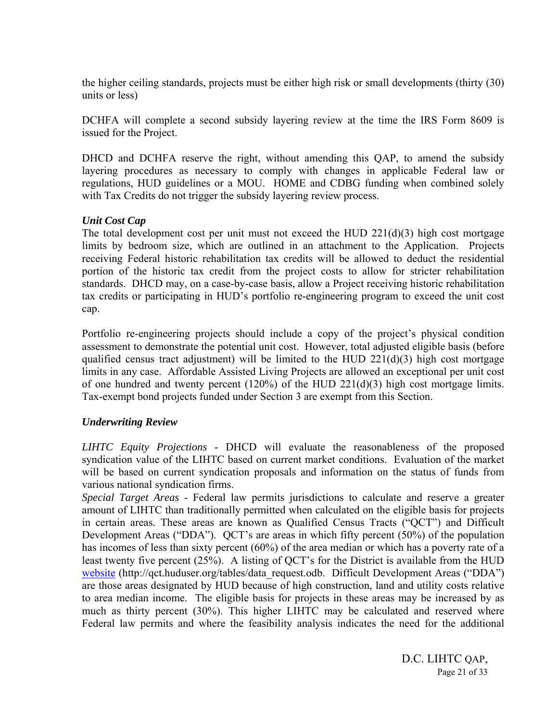the higher ceiling standards, projects must be either high risk or small developments (thirty (30) units or less)

DCHFA will complete a second subsidy layering review at the time the IRS Form 8609 is issued for the Project.

DHCD and DCHFA reserve the right, without amending this QAP, to amend the subsidy layering procedures as necessary to comply with changes in applicable Federal law or regulations, HUD guidelines or a MOU. HOME and CDBG funding when combined solely with Tax Credits do not trigger the subsidy layering review process.

#### *Unit Cost Cap*

The total development cost per unit must not exceed the HUD  $221(d)(3)$  high cost mortgage limits by bedroom size, which are outlined in an attachment to the Application. Projects receiving Federal historic rehabilitation tax credits will be allowed to deduct the residential portion of the historic tax credit from the project costs to allow for stricter rehabilitation standards. DHCD may, on a case-by-case basis, allow a Project receiving historic rehabilitation tax credits or participating in HUD's portfolio re-engineering program to exceed the unit cost cap.

Portfolio re-engineering projects should include a copy of the project's physical condition assessment to demonstrate the potential unit cost. However, total adjusted eligible basis (before qualified census tract adjustment) will be limited to the HUD  $221(d)(3)$  high cost mortgage limits in any case. Affordable Assisted Living Projects are allowed an exceptional per unit cost of one hundred and twenty percent (120%) of the HUD 221(d)(3) high cost mortgage limits. Tax-exempt bond projects funded under Section 3 are exempt from this Section.

#### *Underwriting Review*

*LIHTC Equity Projections* - DHCD will evaluate the reasonableness of the proposed syndication value of the LIHTC based on current market conditions. Evaluation of the market will be based on current syndication proposals and information on the status of funds from various national syndication firms.

*Special Target Areas* - Federal law permits jurisdictions to calculate and reserve a greater amount of LIHTC than traditionally permitted when calculated on the eligible basis for projects in certain areas. These areas are known as Qualified Census Tracts ("QCT") and Difficult Development Areas ("DDA"). QCT's are areas in which fifty percent (50%) of the population has incomes of less than sixty percent (60%) of the area median or which has a poverty rate of a least twenty five percent (25%). A listing of QCT's for the District is available from the HUD website (http://qct.huduser.org/tables/data\_request.odb. Difficult Development Areas ("DDA") are those areas designated by HUD because of high construction, land and utility costs relative to area median income. The eligible basis for projects in these areas may be increased by as much as thirty percent (30%). This higher LIHTC may be calculated and reserved where Federal law permits and where the feasibility analysis indicates the need for the additional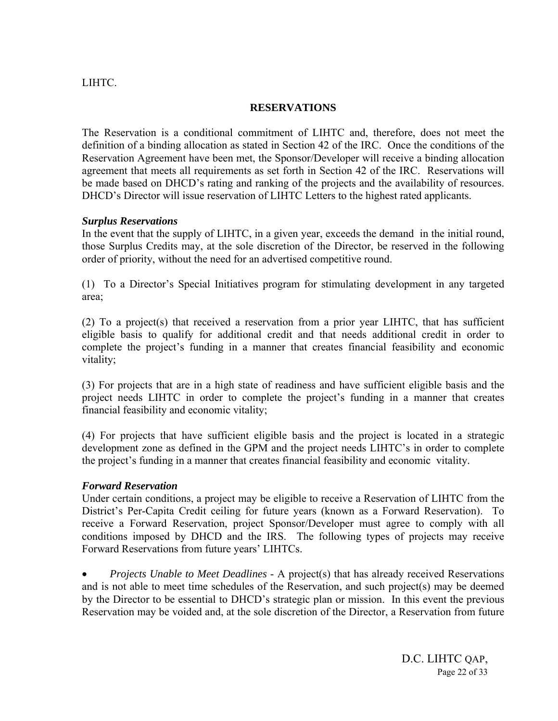#### LIHTC.

#### **RESERVATIONS**

The Reservation is a conditional commitment of LIHTC and, therefore, does not meet the definition of a binding allocation as stated in Section 42 of the IRC. Once the conditions of the Reservation Agreement have been met, the Sponsor/Developer will receive a binding allocation agreement that meets all requirements as set forth in Section 42 of the IRC. Reservations will be made based on DHCD's rating and ranking of the projects and the availability of resources. DHCD's Director will issue reservation of LIHTC Letters to the highest rated applicants.

#### *Surplus Reservations*

In the event that the supply of LIHTC, in a given year, exceeds the demand in the initial round, those Surplus Credits may, at the sole discretion of the Director, be reserved in the following order of priority, without the need for an advertised competitive round.

(1) To a Director's Special Initiatives program for stimulating development in any targeted area;

(2) To a project(s) that received a reservation from a prior year LIHTC, that has sufficient eligible basis to qualify for additional credit and that needs additional credit in order to complete the project's funding in a manner that creates financial feasibility and economic vitality;

(3) For projects that are in a high state of readiness and have sufficient eligible basis and the project needs LIHTC in order to complete the project's funding in a manner that creates financial feasibility and economic vitality;

(4) For projects that have sufficient eligible basis and the project is located in a strategic development zone as defined in the GPM and the project needs LIHTC's in order to complete the project's funding in a manner that creates financial feasibility and economic vitality.

#### *Forward Reservation*

Under certain conditions, a project may be eligible to receive a Reservation of LIHTC from the District's Per-Capita Credit ceiling for future years (known as a Forward Reservation). To receive a Forward Reservation, project Sponsor/Developer must agree to comply with all conditions imposed by DHCD and the IRS. The following types of projects may receive Forward Reservations from future years' LIHTCs.

• *Projects Unable to Meet Deadlines* - A project(s) that has already received Reservations and is not able to meet time schedules of the Reservation, and such project(s) may be deemed by the Director to be essential to DHCD's strategic plan or mission. In this event the previous Reservation may be voided and, at the sole discretion of the Director, a Reservation from future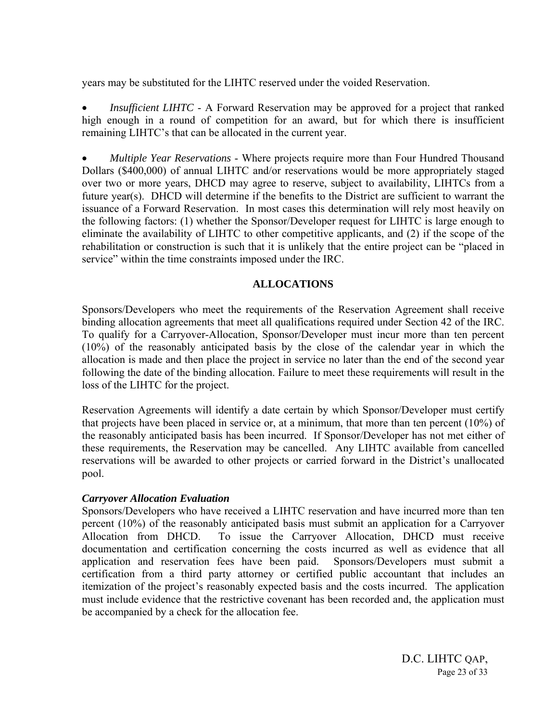years may be substituted for the LIHTC reserved under the voided Reservation.

• *Insufficient LIHTC* - A Forward Reservation may be approved for a project that ranked high enough in a round of competition for an award, but for which there is insufficient remaining LIHTC's that can be allocated in the current year.

• *Multiple Year Reservations* - Where projects require more than Four Hundred Thousand Dollars (\$400,000) of annual LIHTC and/or reservations would be more appropriately staged over two or more years, DHCD may agree to reserve, subject to availability, LIHTCs from a future year(s). DHCD will determine if the benefits to the District are sufficient to warrant the issuance of a Forward Reservation. In most cases this determination will rely most heavily on the following factors: (1) whether the Sponsor/Developer request for LIHTC is large enough to eliminate the availability of LIHTC to other competitive applicants, and (2) if the scope of the rehabilitation or construction is such that it is unlikely that the entire project can be "placed in service" within the time constraints imposed under the IRC.

#### **ALLOCATIONS**

Sponsors/Developers who meet the requirements of the Reservation Agreement shall receive binding allocation agreements that meet all qualifications required under Section 42 of the IRC. To qualify for a Carryover-Allocation, Sponsor/Developer must incur more than ten percent (10%) of the reasonably anticipated basis by the close of the calendar year in which the allocation is made and then place the project in service no later than the end of the second year following the date of the binding allocation. Failure to meet these requirements will result in the loss of the LIHTC for the project.

Reservation Agreements will identify a date certain by which Sponsor/Developer must certify that projects have been placed in service or, at a minimum, that more than ten percent (10%) of the reasonably anticipated basis has been incurred. If Sponsor/Developer has not met either of these requirements, the Reservation may be cancelled. Any LIHTC available from cancelled reservations will be awarded to other projects or carried forward in the District's unallocated pool.

#### *Carryover Allocation Evaluation*

Sponsors/Developers who have received a LIHTC reservation and have incurred more than ten percent (10%) of the reasonably anticipated basis must submit an application for a Carryover Allocation from DHCD. To issue the Carryover Allocation, DHCD must receive documentation and certification concerning the costs incurred as well as evidence that all application and reservation fees have been paid. Sponsors/Developers must submit a certification from a third party attorney or certified public accountant that includes an itemization of the project's reasonably expected basis and the costs incurred. The application must include evidence that the restrictive covenant has been recorded and, the application must be accompanied by a check for the allocation fee.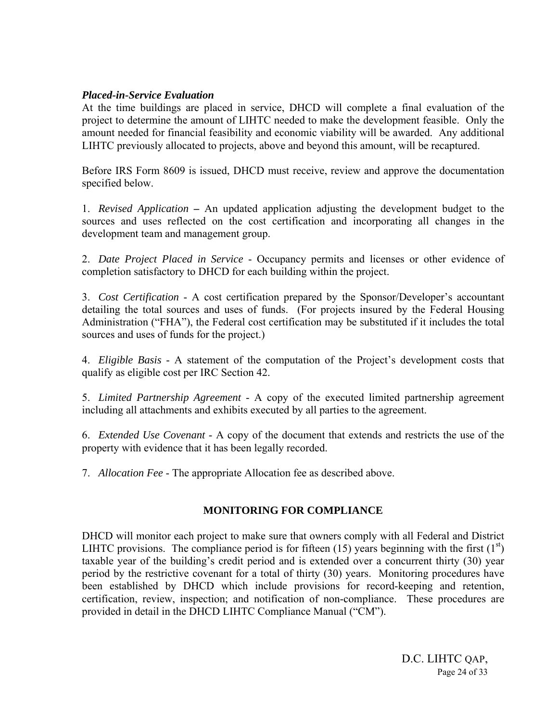#### *Placed-in-Service Evaluation*

At the time buildings are placed in service, DHCD will complete a final evaluation of the project to determine the amount of LIHTC needed to make the development feasible. Only the amount needed for financial feasibility and economic viability will be awarded. Any additional LIHTC previously allocated to projects, above and beyond this amount, will be recaptured.

Before IRS Form 8609 is issued, DHCD must receive, review and approve the documentation specified below.

1. *Revised Application* **–** An updated application adjusting the development budget to the sources and uses reflected on the cost certification and incorporating all changes in the development team and management group.

2. *Date Project Placed in Service* - Occupancy permits and licenses or other evidence of completion satisfactory to DHCD for each building within the project.

3. *Cost Certification* - A cost certification prepared by the Sponsor/Developer's accountant detailing the total sources and uses of funds. (For projects insured by the Federal Housing Administration ("FHA"), the Federal cost certification may be substituted if it includes the total sources and uses of funds for the project.)

4. *Eligible Basis* - A statement of the computation of the Project's development costs that qualify as eligible cost per IRC Section 42.

5. *Limited Partnership Agreement* - A copy of the executed limited partnership agreement including all attachments and exhibits executed by all parties to the agreement.

6. *Extended Use Covenant* - A copy of the document that extends and restricts the use of the property with evidence that it has been legally recorded.

7. *Allocation Fee* - The appropriate Allocation fee as described above.

#### **MONITORING FOR COMPLIANCE**

DHCD will monitor each project to make sure that owners comply with all Federal and District LIHTC provisions. The compliance period is for fifteen (15) years beginning with the first  $(1<sup>st</sup>)$ taxable year of the building's credit period and is extended over a concurrent thirty (30) year period by the restrictive covenant for a total of thirty (30) years. Monitoring procedures have been established by DHCD which include provisions for record-keeping and retention, certification, review, inspection; and notification of non-compliance. These procedures are provided in detail in the DHCD LIHTC Compliance Manual ("CM").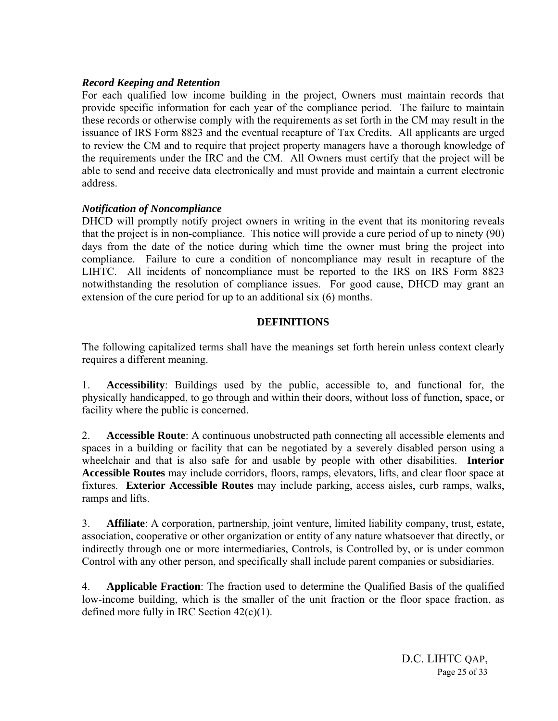#### *Record Keeping and Retention*

For each qualified low income building in the project, Owners must maintain records that provide specific information for each year of the compliance period. The failure to maintain these records or otherwise comply with the requirements as set forth in the CM may result in the issuance of IRS Form 8823 and the eventual recapture of Tax Credits. All applicants are urged to review the CM and to require that project property managers have a thorough knowledge of the requirements under the IRC and the CM. All Owners must certify that the project will be able to send and receive data electronically and must provide and maintain a current electronic address.

#### *Notification of Noncompliance*

DHCD will promptly notify project owners in writing in the event that its monitoring reveals that the project is in non-compliance. This notice will provide a cure period of up to ninety (90) days from the date of the notice during which time the owner must bring the project into compliance. Failure to cure a condition of noncompliance may result in recapture of the LIHTC. All incidents of noncompliance must be reported to the IRS on IRS Form 8823 notwithstanding the resolution of compliance issues. For good cause, DHCD may grant an extension of the cure period for up to an additional six (6) months.

#### **DEFINITIONS**

The following capitalized terms shall have the meanings set forth herein unless context clearly requires a different meaning.

1. **Accessibility**: Buildings used by the public, accessible to, and functional for, the physically handicapped, to go through and within their doors, without loss of function, space, or facility where the public is concerned.

2. **Accessible Route**: A continuous unobstructed path connecting all accessible elements and spaces in a building or facility that can be negotiated by a severely disabled person using a wheelchair and that is also safe for and usable by people with other disabilities. **Interior Accessible Routes** may include corridors, floors, ramps, elevators, lifts, and clear floor space at fixtures. **Exterior Accessible Routes** may include parking, access aisles, curb ramps, walks, ramps and lifts.

3. **Affiliate**: A corporation, partnership, joint venture, limited liability company, trust, estate, association, cooperative or other organization or entity of any nature whatsoever that directly, or indirectly through one or more intermediaries, Controls, is Controlled by, or is under common Control with any other person, and specifically shall include parent companies or subsidiaries.

4. **Applicable Fraction**: The fraction used to determine the Qualified Basis of the qualified low-income building, which is the smaller of the unit fraction or the floor space fraction, as defined more fully in IRC Section 42(c)(1).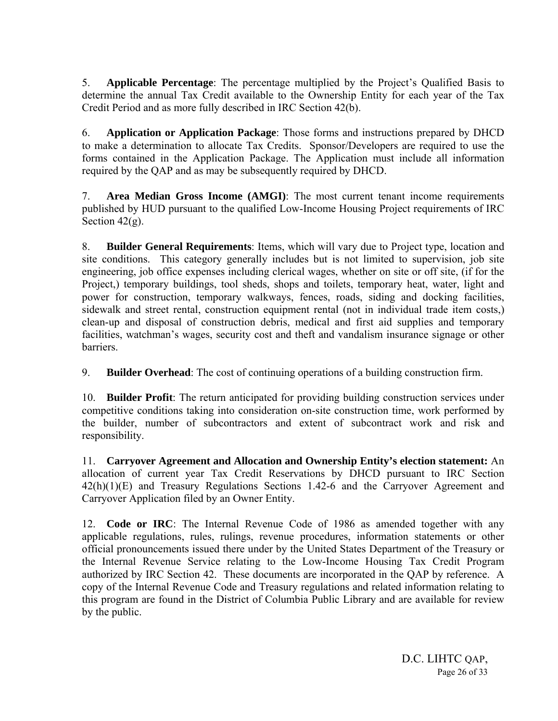5. **Applicable Percentage**: The percentage multiplied by the Project's Qualified Basis to determine the annual Tax Credit available to the Ownership Entity for each year of the Tax Credit Period and as more fully described in IRC Section 42(b).

6. **Application or Application Package**: Those forms and instructions prepared by DHCD to make a determination to allocate Tax Credits. Sponsor/Developers are required to use the forms contained in the Application Package. The Application must include all information required by the QAP and as may be subsequently required by DHCD.

7. **Area Median Gross Income (AMGI)**: The most current tenant income requirements published by HUD pursuant to the qualified Low-Income Housing Project requirements of IRC Section  $42(g)$ .

8. **Builder General Requirements**: Items, which will vary due to Project type, location and site conditions. This category generally includes but is not limited to supervision, job site engineering, job office expenses including clerical wages, whether on site or off site, (if for the Project,) temporary buildings, tool sheds, shops and toilets, temporary heat, water, light and power for construction, temporary walkways, fences, roads, siding and docking facilities, sidewalk and street rental, construction equipment rental (not in individual trade item costs,) clean-up and disposal of construction debris, medical and first aid supplies and temporary facilities, watchman's wages, security cost and theft and vandalism insurance signage or other barriers.

9. **Builder Overhead**: The cost of continuing operations of a building construction firm.

10. **Builder Profit**: The return anticipated for providing building construction services under competitive conditions taking into consideration on-site construction time, work performed by the builder, number of subcontractors and extent of subcontract work and risk and responsibility.

11. **Carryover Agreement and Allocation and Ownership Entity's election statement:** An allocation of current year Tax Credit Reservations by DHCD pursuant to IRC Section 42(h)(1)(E) and Treasury Regulations Sections 1.42-6 and the Carryover Agreement and Carryover Application filed by an Owner Entity.

12. **Code or IRC**: The Internal Revenue Code of 1986 as amended together with any applicable regulations, rules, rulings, revenue procedures, information statements or other official pronouncements issued there under by the United States Department of the Treasury or the Internal Revenue Service relating to the Low-Income Housing Tax Credit Program authorized by IRC Section 42. These documents are incorporated in the QAP by reference. A copy of the Internal Revenue Code and Treasury regulations and related information relating to this program are found in the District of Columbia Public Library and are available for review by the public.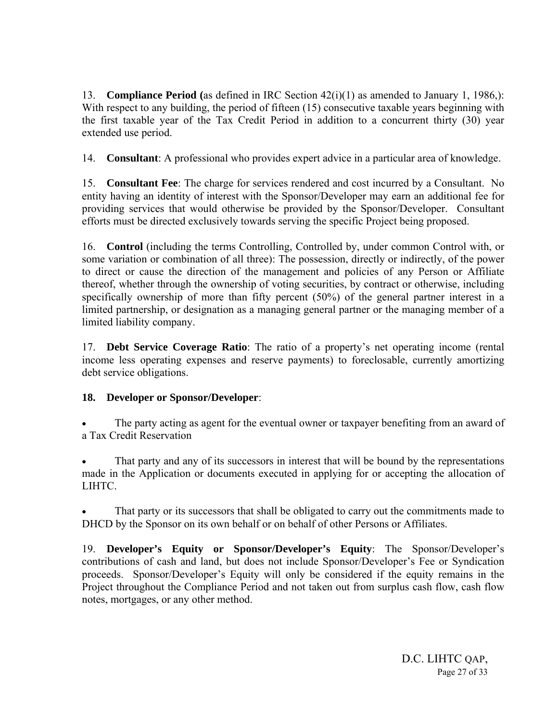13. **Compliance Period (**as defined in IRC Section 42(i)(1) as amended to January 1, 1986,): With respect to any building, the period of fifteen (15) consecutive taxable years beginning with the first taxable year of the Tax Credit Period in addition to a concurrent thirty (30) year extended use period.

14. **Consultant**: A professional who provides expert advice in a particular area of knowledge.

15. **Consultant Fee**: The charge for services rendered and cost incurred by a Consultant. No entity having an identity of interest with the Sponsor/Developer may earn an additional fee for providing services that would otherwise be provided by the Sponsor/Developer. Consultant efforts must be directed exclusively towards serving the specific Project being proposed.

16. **Control** (including the terms Controlling, Controlled by, under common Control with, or some variation or combination of all three): The possession, directly or indirectly, of the power to direct or cause the direction of the management and policies of any Person or Affiliate thereof, whether through the ownership of voting securities, by contract or otherwise, including specifically ownership of more than fifty percent (50%) of the general partner interest in a limited partnership, or designation as a managing general partner or the managing member of a limited liability company.

17. **Debt Service Coverage Ratio**: The ratio of a property's net operating income (rental income less operating expenses and reserve payments) to foreclosable, currently amortizing debt service obligations.

#### **18. Developer or Sponsor/Developer**:

The party acting as agent for the eventual owner or taxpayer benefiting from an award of a Tax Credit Reservation

That party and any of its successors in interest that will be bound by the representations made in the Application or documents executed in applying for or accepting the allocation of LIHTC.

That party or its successors that shall be obligated to carry out the commitments made to DHCD by the Sponsor on its own behalf or on behalf of other Persons or Affiliates.

19. **Developer's Equity or Sponsor/Developer's Equity**: The Sponsor/Developer's contributions of cash and land, but does not include Sponsor/Developer's Fee or Syndication proceeds. Sponsor/Developer's Equity will only be considered if the equity remains in the Project throughout the Compliance Period and not taken out from surplus cash flow, cash flow notes, mortgages, or any other method.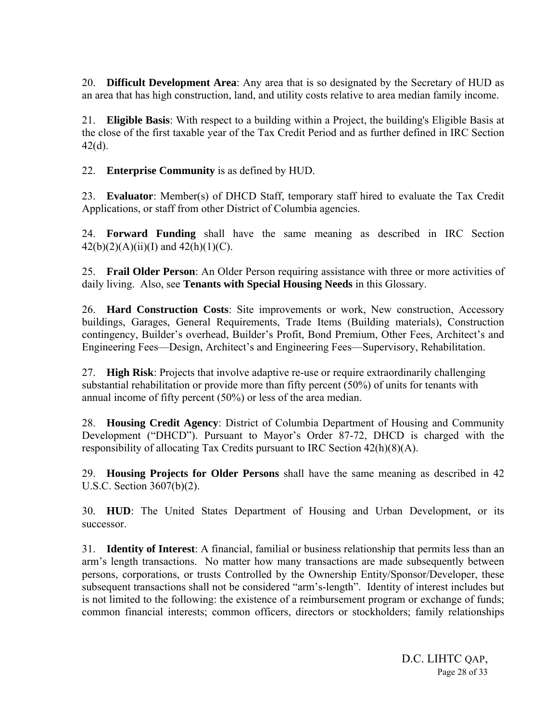20. **Difficult Development Area**: Any area that is so designated by the Secretary of HUD as an area that has high construction, land, and utility costs relative to area median family income.

21. **Eligible Basis**: With respect to a building within a Project, the building's Eligible Basis at the close of the first taxable year of the Tax Credit Period and as further defined in IRC Section 42(d).

22. **Enterprise Community** is as defined by HUD.

23. **Evaluator**: Member(s) of DHCD Staff, temporary staff hired to evaluate the Tax Credit Applications, or staff from other District of Columbia agencies.

24. **Forward Funding** shall have the same meaning as described in IRC Section  $42(b)(2)(A)(ii)(I)$  and  $42(h)(1)(C)$ .

25. **Frail Older Person**: An Older Person requiring assistance with three or more activities of daily living. Also, see **Tenants with Special Housing Needs** in this Glossary.

26. **Hard Construction Costs**: Site improvements or work, New construction, Accessory buildings, Garages, General Requirements, Trade Items (Building materials), Construction contingency, Builder's overhead, Builder's Profit, Bond Premium, Other Fees, Architect's and Engineering Fees—Design, Architect's and Engineering Fees—Supervisory, Rehabilitation.

27. **High Risk**: Projects that involve adaptive re-use or require extraordinarily challenging substantial rehabilitation or provide more than fifty percent (50%) of units for tenants with annual income of fifty percent (50%) or less of the area median.

28. **Housing Credit Agency**: District of Columbia Department of Housing and Community Development ("DHCD"). Pursuant to Mayor's Order 87-72, DHCD is charged with the responsibility of allocating Tax Credits pursuant to IRC Section 42(h)(8)(A).

29. **Housing Projects for Older Persons** shall have the same meaning as described in 42 U.S.C. Section 3607(b)(2).

30. **HUD**: The United States Department of Housing and Urban Development, or its successor.

31. **Identity of Interest**: A financial, familial or business relationship that permits less than an arm's length transactions. No matter how many transactions are made subsequently between persons, corporations, or trusts Controlled by the Ownership Entity/Sponsor/Developer, these subsequent transactions shall not be considered "arm's-length". Identity of interest includes but is not limited to the following: the existence of a reimbursement program or exchange of funds; common financial interests; common officers, directors or stockholders; family relationships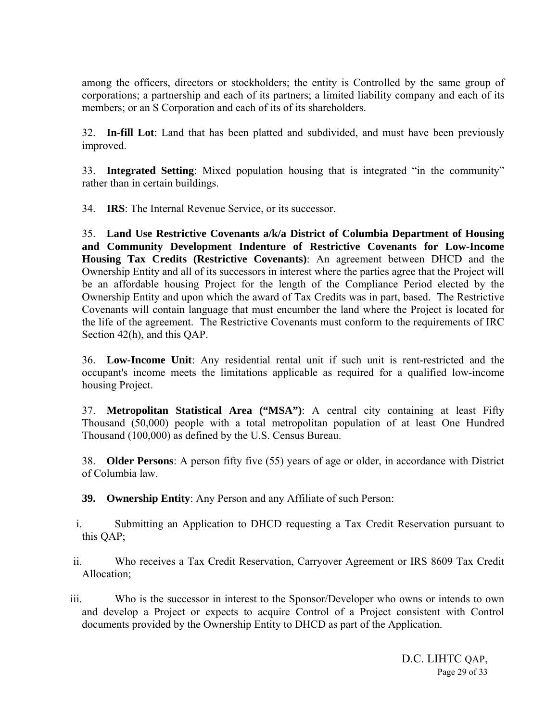among the officers, directors or stockholders; the entity is Controlled by the same group of corporations; a partnership and each of its partners; a limited liability company and each of its members; or an S Corporation and each of its of its shareholders.

32. **In-fill Lot**: Land that has been platted and subdivided, and must have been previously improved.

33. **Integrated Setting**: Mixed population housing that is integrated "in the community" rather than in certain buildings.

34. **IRS**: The Internal Revenue Service, or its successor.

35. **Land Use Restrictive Covenants a/k/a District of Columbia Department of Housing and Community Development Indenture of Restrictive Covenants for Low-Income Housing Tax Credits (Restrictive Covenants)**: An agreement between DHCD and the Ownership Entity and all of its successors in interest where the parties agree that the Project will be an affordable housing Project for the length of the Compliance Period elected by the Ownership Entity and upon which the award of Tax Credits was in part, based. The Restrictive Covenants will contain language that must encumber the land where the Project is located for the life of the agreement. The Restrictive Covenants must conform to the requirements of IRC Section 42(h), and this QAP.

36. **Low-Income Unit**: Any residential rental unit if such unit is rent-restricted and the occupant's income meets the limitations applicable as required for a qualified low-income housing Project.

37. **Metropolitan Statistical Area ("MSA")**: A central city containing at least Fifty Thousand (50,000) people with a total metropolitan population of at least One Hundred Thousand (100,000) as defined by the U.S. Census Bureau.

38. **Older Persons**: A person fifty five (55) years of age or older, in accordance with District of Columbia law.

**39. Ownership Entity**: Any Person and any Affiliate of such Person:

- i. Submitting an Application to DHCD requesting a Tax Credit Reservation pursuant to this QAP;
- ii. Who receives a Tax Credit Reservation, Carryover Agreement or IRS 8609 Tax Credit Allocation;
- iii. Who is the successor in interest to the Sponsor/Developer who owns or intends to own and develop a Project or expects to acquire Control of a Project consistent with Control documents provided by the Ownership Entity to DHCD as part of the Application.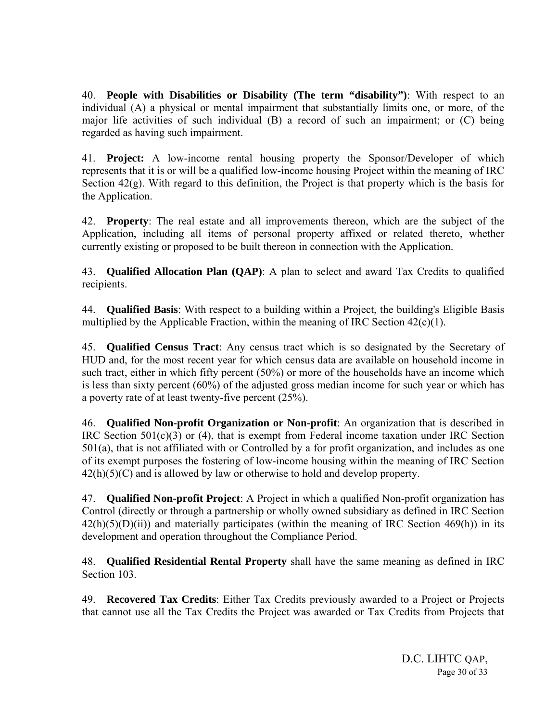40. **People with Disabilities or Disability (The term "disability")**: With respect to an individual (A) a physical or mental impairment that substantially limits one, or more, of the major life activities of such individual (B) a record of such an impairment; or (C) being regarded as having such impairment.

41. **Project:** A low-income rental housing property the Sponsor/Developer of which represents that it is or will be a qualified low-income housing Project within the meaning of IRC Section 42(g). With regard to this definition, the Project is that property which is the basis for the Application.

42. **Property**: The real estate and all improvements thereon, which are the subject of the Application, including all items of personal property affixed or related thereto, whether currently existing or proposed to be built thereon in connection with the Application.

43. **Qualified Allocation Plan (QAP)**: A plan to select and award Tax Credits to qualified recipients.

44. **Qualified Basis**: With respect to a building within a Project, the building's Eligible Basis multiplied by the Applicable Fraction, within the meaning of IRC Section  $42(c)(1)$ .

45. **Qualified Census Tract**: Any census tract which is so designated by the Secretary of HUD and, for the most recent year for which census data are available on household income in such tract, either in which fifty percent (50%) or more of the households have an income which is less than sixty percent (60%) of the adjusted gross median income for such year or which has a poverty rate of at least twenty-five percent (25%).

46. **Qualified Non-profit Organization or Non-profit**: An organization that is described in IRC Section 501(c)(3) or (4), that is exempt from Federal income taxation under IRC Section 501(a), that is not affiliated with or Controlled by a for profit organization, and includes as one of its exempt purposes the fostering of low-income housing within the meaning of IRC Section  $42(h)(5)(C)$  and is allowed by law or otherwise to hold and develop property.

47. **Qualified Non-profit Project**: A Project in which a qualified Non-profit organization has Control (directly or through a partnership or wholly owned subsidiary as defined in IRC Section  $42(h)(5)(D)(ii)$  and materially participates (within the meaning of IRC Section 469(h)) in its development and operation throughout the Compliance Period.

48. **Qualified Residential Rental Property** shall have the same meaning as defined in IRC Section 103.

49. **Recovered Tax Credits**: Either Tax Credits previously awarded to a Project or Projects that cannot use all the Tax Credits the Project was awarded or Tax Credits from Projects that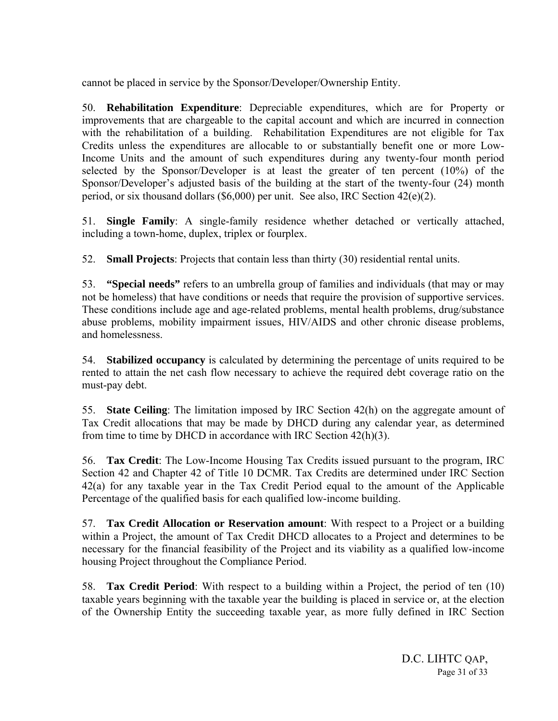cannot be placed in service by the Sponsor/Developer/Ownership Entity.

50. **Rehabilitation Expenditure**: Depreciable expenditures, which are for Property or improvements that are chargeable to the capital account and which are incurred in connection with the rehabilitation of a building. Rehabilitation Expenditures are not eligible for Tax Credits unless the expenditures are allocable to or substantially benefit one or more Low-Income Units and the amount of such expenditures during any twenty-four month period selected by the Sponsor/Developer is at least the greater of ten percent (10%) of the Sponsor/Developer's adjusted basis of the building at the start of the twenty-four (24) month period, or six thousand dollars (\$6,000) per unit. See also, IRC Section 42(e)(2).

51. **Single Family**: A single-family residence whether detached or vertically attached, including a town-home, duplex, triplex or fourplex.

52. **Small Projects**: Projects that contain less than thirty (30) residential rental units.

53. **"Special needs"** refers to an umbrella group of families and individuals (that may or may not be homeless) that have conditions or needs that require the provision of supportive services. These conditions include age and age-related problems, mental health problems, drug/substance abuse problems, mobility impairment issues, HIV/AIDS and other chronic disease problems, and homelessness.

54. **Stabilized occupancy** is calculated by determining the percentage of units required to be rented to attain the net cash flow necessary to achieve the required debt coverage ratio on the must-pay debt.

55. **State Ceiling**: The limitation imposed by IRC Section 42(h) on the aggregate amount of Tax Credit allocations that may be made by DHCD during any calendar year, as determined from time to time by DHCD in accordance with IRC Section 42(h)(3).

56. **Tax Credit**: The Low-Income Housing Tax Credits issued pursuant to the program, IRC Section 42 and Chapter 42 of Title 10 DCMR. Tax Credits are determined under IRC Section 42(a) for any taxable year in the Tax Credit Period equal to the amount of the Applicable Percentage of the qualified basis for each qualified low-income building.

57. **Tax Credit Allocation or Reservation amount**: With respect to a Project or a building within a Project, the amount of Tax Credit DHCD allocates to a Project and determines to be necessary for the financial feasibility of the Project and its viability as a qualified low-income housing Project throughout the Compliance Period.

58. **Tax Credit Period**: With respect to a building within a Project, the period of ten (10) taxable years beginning with the taxable year the building is placed in service or, at the election of the Ownership Entity the succeeding taxable year, as more fully defined in IRC Section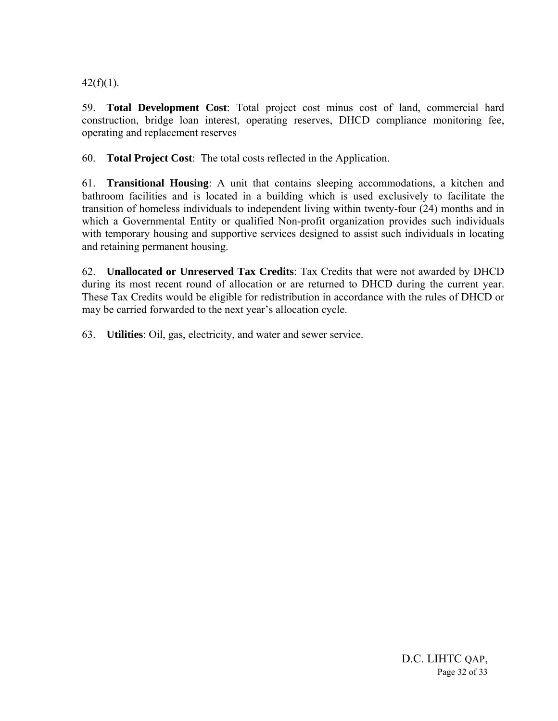$42(f)(1)$ .

59. **Total Development Cost**: Total project cost minus cost of land, commercial hard construction, bridge loan interest, operating reserves, DHCD compliance monitoring fee, operating and replacement reserves

60. **Total Project Cost**: The total costs reflected in the Application.

61. **Transitional Housing**: A unit that contains sleeping accommodations, a kitchen and bathroom facilities and is located in a building which is used exclusively to facilitate the transition of homeless individuals to independent living within twenty-four (24) months and in which a Governmental Entity or qualified Non-profit organization provides such individuals with temporary housing and supportive services designed to assist such individuals in locating and retaining permanent housing.

62. **Unallocated or Unreserved Tax Credits**: Tax Credits that were not awarded by DHCD during its most recent round of allocation or are returned to DHCD during the current year. These Tax Credits would be eligible for redistribution in accordance with the rules of DHCD or may be carried forwarded to the next year's allocation cycle.

63. **Utilities**: Oil, gas, electricity, and water and sewer service.